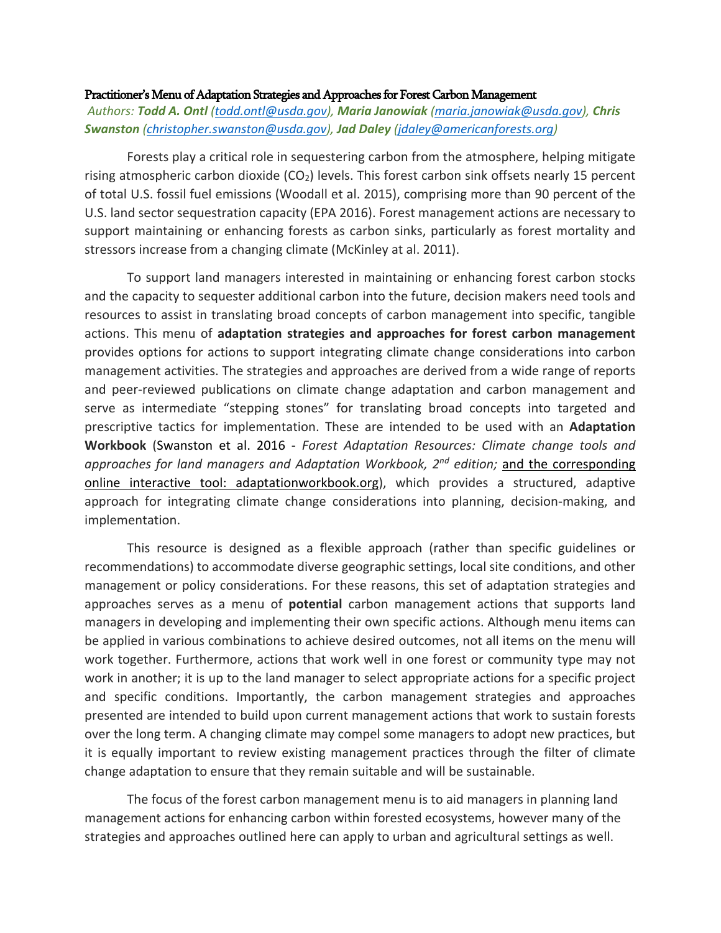#### Practitioner's Menu of Adaptation Strategies and Approaches for Forest Carbon Management

*Authors: Todd A. Ontl (todd.ontl@usda.gov), Maria Janowiak (maria.janowiak@usda.gov), Chris Swanston (christopher.swanston@usda.gov), Jad Daley (jdaley@americanforests.org)*

Forests play a critical role in sequestering carbon from the atmosphere, helping mitigate rising atmospheric carbon dioxide  $(CO<sub>2</sub>)$  levels. This forest carbon sink offsets nearly 15 percent of total U.S. fossil fuel emissions (Woodall et al. 2015), comprising more than 90 percent of the U.S. land sector sequestration capacity (EPA 2016). Forest management actions are necessary to support maintaining or enhancing forests as carbon sinks, particularly as forest mortality and stressors increase from a changing climate (McKinley at al. 2011).

To support land managers interested in maintaining or enhancing forest carbon stocks and the capacity to sequester additional carbon into the future, decision makers need tools and resources to assist in translating broad concepts of carbon management into specific, tangible actions. This menu of **adaptation strategies and approaches for forest carbon management** provides options for actions to support integrating climate change considerations into carbon management activities. The strategies and approaches are derived from a wide range of reports and peer-reviewed publications on climate change adaptation and carbon management and serve as intermediate "stepping stones" for translating broad concepts into targeted and prescriptive tactics for implementation. These are intended to be used with an **Adaptation Workbook** (Swanston et al. 2016 - *Forest Adaptation Resources: Climate change tools and approaches for land managers and Adaptation Workbook, 2nd edition;* and the corresponding online interactive tool: adaptationworkbook.org), which provides a structured, adaptive approach for integrating climate change considerations into planning, decision-making, and implementation.

This resource is designed as a flexible approach (rather than specific guidelines or recommendations) to accommodate diverse geographic settings, local site conditions, and other management or policy considerations. For these reasons, this set of adaptation strategies and approaches serves as a menu of **potential** carbon management actions that supports land managers in developing and implementing their own specific actions. Although menu items can be applied in various combinations to achieve desired outcomes, not all items on the menu will work together. Furthermore, actions that work well in one forest or community type may not work in another; it is up to the land manager to select appropriate actions for a specific project and specific conditions. Importantly, the carbon management strategies and approaches presented are intended to build upon current management actions that work to sustain forests over the long term. A changing climate may compel some managers to adopt new practices, but it is equally important to review existing management practices through the filter of climate change adaptation to ensure that they remain suitable and will be sustainable.

The focus of the forest carbon management menu is to aid managers in planning land management actions for enhancing carbon within forested ecosystems, however many of the strategies and approaches outlined here can apply to urban and agricultural settings as well.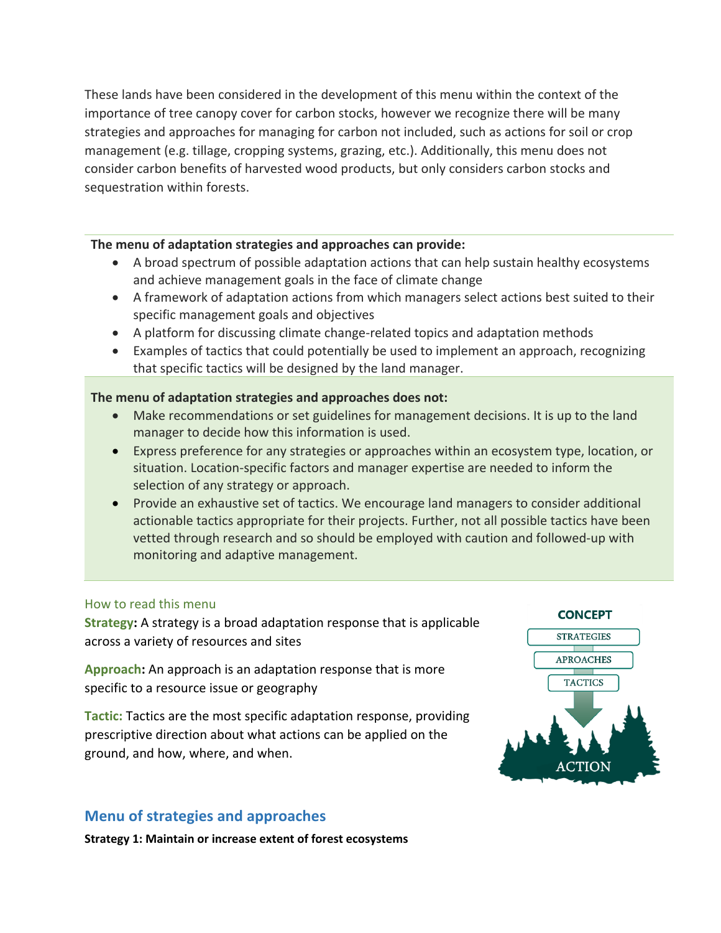These lands have been considered in the development of this menu within the context of the importance of tree canopy cover for carbon stocks, however we recognize there will be many strategies and approaches for managing for carbon not included, such as actions for soil or crop management (e.g. tillage, cropping systems, grazing, etc.). Additionally, this menu does not consider carbon benefits of harvested wood products, but only considers carbon stocks and sequestration within forests.

#### **The menu of adaptation strategies and approaches can provide:**

- A broad spectrum of possible adaptation actions that can help sustain healthy ecosystems and achieve management goals in the face of climate change
- A framework of adaptation actions from which managers select actions best suited to their specific management goals and objectives
- A platform for discussing climate change-related topics and adaptation methods
- Examples of tactics that could potentially be used to implement an approach, recognizing that specific tactics will be designed by the land manager.

### **The menu of adaptation strategies and approaches does not:**

- Make recommendations or set guidelines for management decisions. It is up to the land manager to decide how this information is used.
- Express preference for any strategies or approaches within an ecosystem type, location, or situation. Location-specific factors and manager expertise are needed to inform the selection of any strategy or approach.
- Provide an exhaustive set of tactics. We encourage land managers to consider additional actionable tactics appropriate for their projects. Further, not all possible tactics have been vetted through research and so should be employed with caution and followed-up with monitoring and adaptive management.

#### How to read this menu

**Strategy:** A strategy is a broad adaptation response that is applicable across a variety of resources and sites

**Approach:** An approach is an adaptation response that is more specific to a resource issue or geography

**Tactic:** Tactics are the most specific adaptation response, providing prescriptive direction about what actions can be applied on the ground, and how, where, and when.

## **Menu of strategies and approaches**

**Strategy 1: Maintain or increase extent of forest ecosystems**

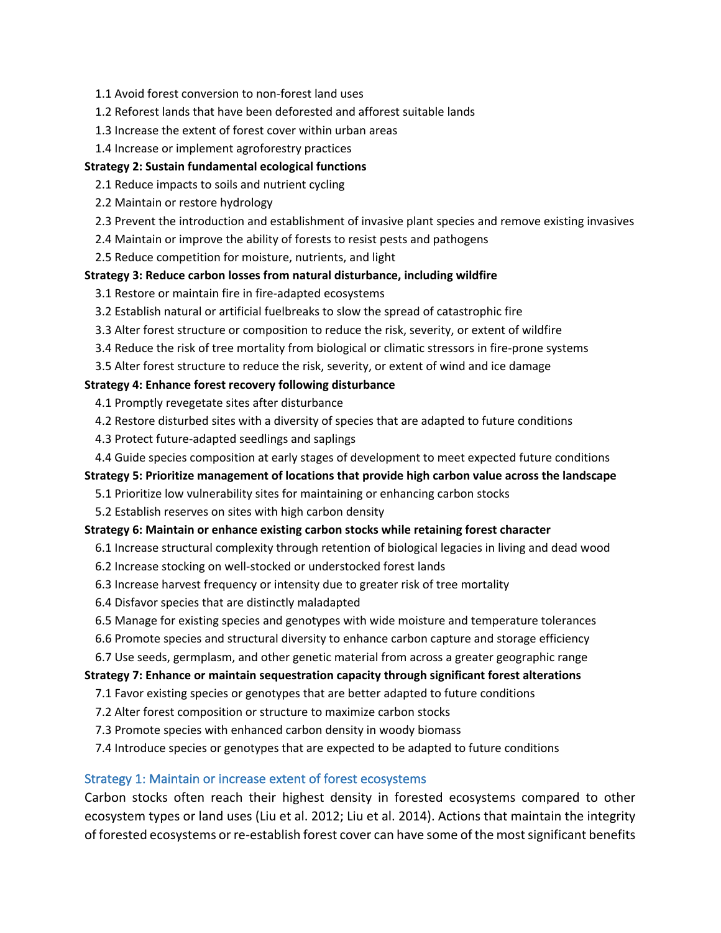- 1.1 Avoid forest conversion to non-forest land uses
- 1.2 Reforest lands that have been deforested and afforest suitable lands
- 1.3 Increase the extent of forest cover within urban areas
- 1.4 Increase or implement agroforestry practices

#### **Strategy 2: Sustain fundamental ecological functions**

- 2.1 Reduce impacts to soils and nutrient cycling
- 2.2 Maintain or restore hydrology
- 2.3 Prevent the introduction and establishment of invasive plant species and remove existing invasives
- 2.4 Maintain or improve the ability of forests to resist pests and pathogens
- 2.5 Reduce competition for moisture, nutrients, and light

#### **Strategy 3: Reduce carbon losses from natural disturbance, including wildfire**

- 3.1 Restore or maintain fire in fire-adapted ecosystems
- 3.2 Establish natural or artificial fuelbreaks to slow the spread of catastrophic fire
- 3.3 Alter forest structure or composition to reduce the risk, severity, or extent of wildfire
- 3.4 Reduce the risk of tree mortality from biological or climatic stressors in fire-prone systems
- 3.5 Alter forest structure to reduce the risk, severity, or extent of wind and ice damage

#### **Strategy 4: Enhance forest recovery following disturbance**

- 4.1 Promptly revegetate sites after disturbance
- 4.2 Restore disturbed sites with a diversity of species that are adapted to future conditions
- 4.3 Protect future-adapted seedlings and saplings
- 4.4 Guide species composition at early stages of development to meet expected future conditions

#### **Strategy 5: Prioritize management of locations that provide high carbon value across the landscape**

- 5.1 Prioritize low vulnerability sites for maintaining or enhancing carbon stocks
- 5.2 Establish reserves on sites with high carbon density

#### **Strategy 6: Maintain or enhance existing carbon stocks while retaining forest character**

- 6.1 Increase structural complexity through retention of biological legacies in living and dead wood
- 6.2 Increase stocking on well-stocked or understocked forest lands
- 6.3 Increase harvest frequency or intensity due to greater risk of tree mortality
- 6.4 Disfavor species that are distinctly maladapted
- 6.5 Manage for existing species and genotypes with wide moisture and temperature tolerances
- 6.6 Promote species and structural diversity to enhance carbon capture and storage efficiency
- 6.7 Use seeds, germplasm, and other genetic material from across a greater geographic range

#### **Strategy 7: Enhance or maintain sequestration capacity through significant forest alterations**

- 7.1 Favor existing species or genotypes that are better adapted to future conditions
- 7.2 Alter forest composition or structure to maximize carbon stocks
- 7.3 Promote species with enhanced carbon density in woody biomass
- 7.4 Introduce species or genotypes that are expected to be adapted to future conditions

#### Strategy 1: Maintain or increase extent of forest ecosystems

Carbon stocks often reach their highest density in forested ecosystems compared to other ecosystem types or land uses (Liu et al. 2012; Liu et al. 2014). Actions that maintain the integrity of forested ecosystems or re-establish forest cover can have some of the most significant benefits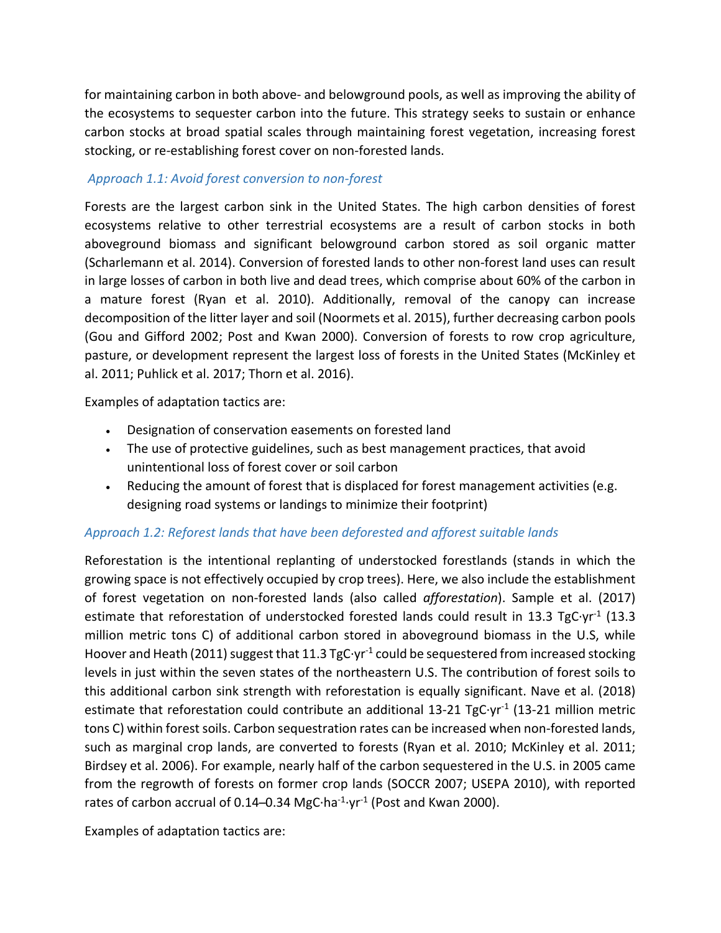for maintaining carbon in both above- and belowground pools, as well as improving the ability of the ecosystems to sequester carbon into the future. This strategy seeks to sustain or enhance carbon stocks at broad spatial scales through maintaining forest vegetation, increasing forest stocking, or re-establishing forest cover on non-forested lands.

### *Approach 1.1: Avoid forest conversion to non-forest*

Forests are the largest carbon sink in the United States. The high carbon densities of forest ecosystems relative to other terrestrial ecosystems are a result of carbon stocks in both aboveground biomass and significant belowground carbon stored as soil organic matter (Scharlemann et al. 2014). Conversion of forested lands to other non-forest land uses can result in large losses of carbon in both live and dead trees, which comprise about 60% of the carbon in a mature forest (Ryan et al. 2010). Additionally, removal of the canopy can increase decomposition of the litter layer and soil (Noormets et al. 2015), further decreasing carbon pools (Gou and Gifford 2002; Post and Kwan 2000). Conversion of forests to row crop agriculture, pasture, or development represent the largest loss of forests in the United States (McKinley et al. 2011; Puhlick et al. 2017; Thorn et al. 2016).

Examples of adaptation tactics are:

- Designation of conservation easements on forested land
- The use of protective guidelines, such as best management practices, that avoid unintentional loss of forest cover or soil carbon
- Reducing the amount of forest that is displaced for forest management activities (e.g. designing road systems or landings to minimize their footprint)

### *Approach 1.2: Reforest lands that have been deforested and afforest suitable lands*

Reforestation is the intentional replanting of understocked forestlands (stands in which the growing space is not effectively occupied by crop trees). Here, we also include the establishment of forest vegetation on non-forested lands (also called *afforestation*). Sample et al. (2017) estimate that reforestation of understocked forested lands could result in 13.3 TgC·yr<sup>-1</sup> (13.3 million metric tons C) of additional carbon stored in aboveground biomass in the U.S, while Hoover and Heath (2011) suggest that 11.3 TgC $\cdot$ yr<sup>-1</sup> could be sequestered from increased stocking levels in just within the seven states of the northeastern U.S. The contribution of forest soils to this additional carbon sink strength with reforestation is equally significant. Nave et al. (2018) estimate that reforestation could contribute an additional 13-21 TgC·yr<sup>-1</sup> (13-21 million metric tons C) within forest soils. Carbon sequestration rates can be increased when non-forested lands, such as marginal crop lands, are converted to forests (Ryan et al. 2010; McKinley et al. 2011; Birdsey et al. 2006). For example, nearly half of the carbon sequestered in the U.S. in 2005 came from the regrowth of forests on former crop lands (SOCCR 2007; USEPA 2010), with reported rates of carbon accrual of 0.14–0.34 MgC $\cdot$ ha<sup>-1</sup> $\cdot$ yr<sup>-1</sup> (Post and Kwan 2000).

Examples of adaptation tactics are: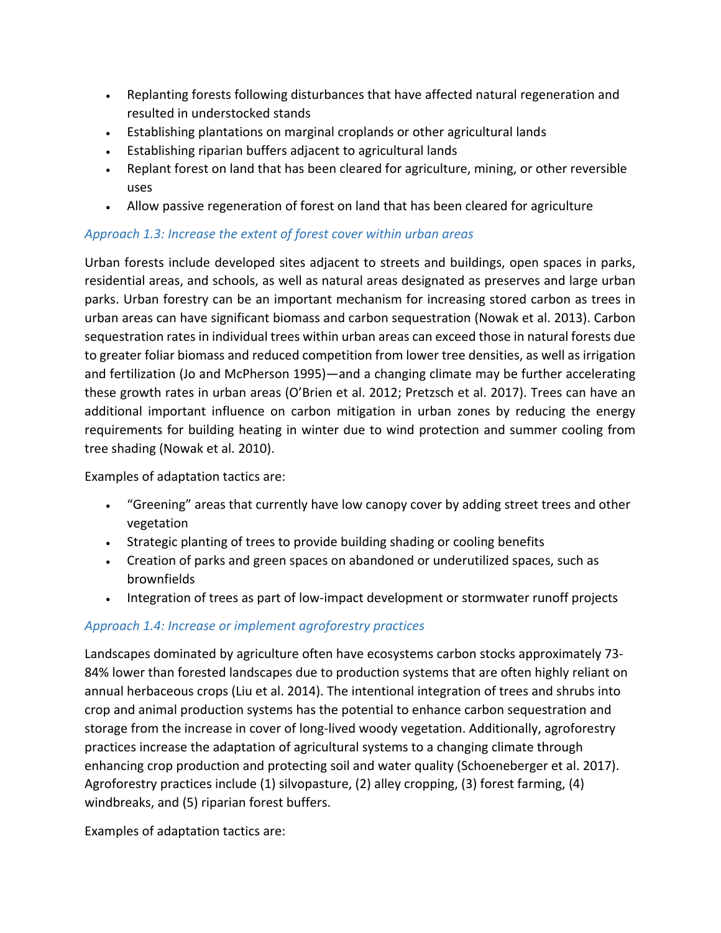- Replanting forests following disturbances that have affected natural regeneration and resulted in understocked stands
- Establishing plantations on marginal croplands or other agricultural lands
- Establishing riparian buffers adjacent to agricultural lands
- Replant forest on land that has been cleared for agriculture, mining, or other reversible uses
- Allow passive regeneration of forest on land that has been cleared for agriculture

### *Approach 1.3: Increase the extent of forest cover within urban areas*

Urban forests include developed sites adjacent to streets and buildings, open spaces in parks, residential areas, and schools, as well as natural areas designated as preserves and large urban parks. Urban forestry can be an important mechanism for increasing stored carbon as trees in urban areas can have significant biomass and carbon sequestration (Nowak et al. 2013). Carbon sequestration rates in individual trees within urban areas can exceed those in natural forests due to greater foliar biomass and reduced competition from lower tree densities, as well as irrigation and fertilization (Jo and McPherson 1995)—and a changing climate may be further accelerating these growth rates in urban areas (O'Brien et al. 2012; Pretzsch et al. 2017). Trees can have an additional important influence on carbon mitigation in urban zones by reducing the energy requirements for building heating in winter due to wind protection and summer cooling from tree shading (Nowak et al. 2010).

Examples of adaptation tactics are:

- "Greening" areas that currently have low canopy cover by adding street trees and other vegetation
- Strategic planting of trees to provide building shading or cooling benefits
- Creation of parks and green spaces on abandoned or underutilized spaces, such as brownfields
- Integration of trees as part of low-impact development or stormwater runoff projects

## *Approach 1.4: Increase or implement agroforestry practices*

Landscapes dominated by agriculture often have ecosystems carbon stocks approximately 73- 84% lower than forested landscapes due to production systems that are often highly reliant on annual herbaceous crops (Liu et al. 2014). The intentional integration of trees and shrubs into crop and animal production systems has the potential to enhance carbon sequestration and storage from the increase in cover of long-lived woody vegetation. Additionally, agroforestry practices increase the adaptation of agricultural systems to a changing climate through enhancing crop production and protecting soil and water quality (Schoeneberger et al. 2017). Agroforestry practices include (1) silvopasture, (2) alley cropping, (3) forest farming, (4) windbreaks, and (5) riparian forest buffers.

Examples of adaptation tactics are: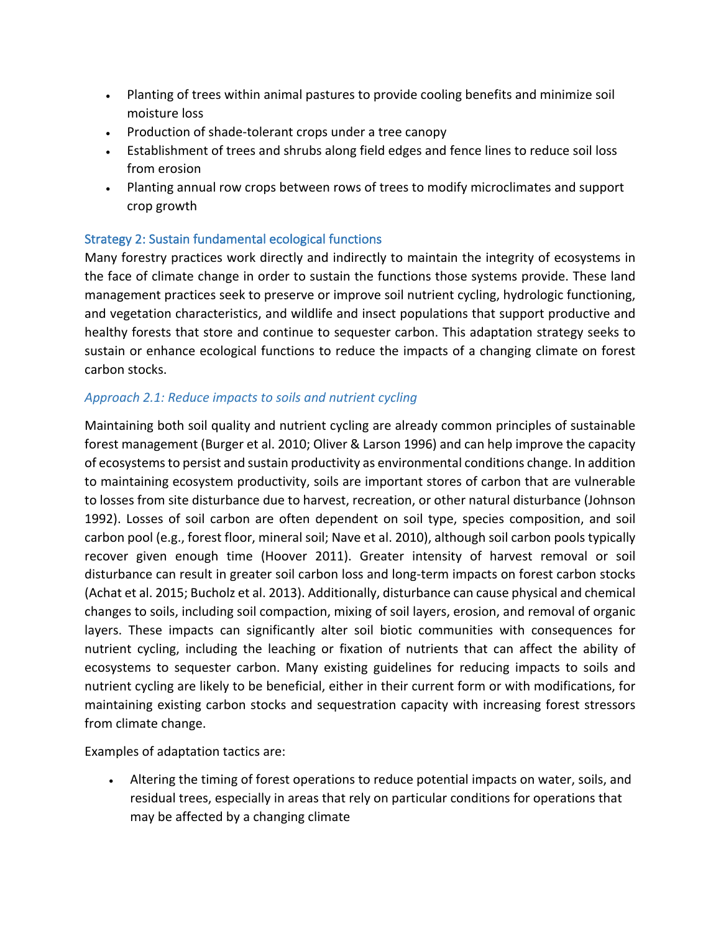- Planting of trees within animal pastures to provide cooling benefits and minimize soil moisture loss
- Production of shade-tolerant crops under a tree canopy
- Establishment of trees and shrubs along field edges and fence lines to reduce soil loss from erosion
- Planting annual row crops between rows of trees to modify microclimates and support crop growth

### Strategy 2: Sustain fundamental ecological functions

Many forestry practices work directly and indirectly to maintain the integrity of ecosystems in the face of climate change in order to sustain the functions those systems provide. These land management practices seek to preserve or improve soil nutrient cycling, hydrologic functioning, and vegetation characteristics, and wildlife and insect populations that support productive and healthy forests that store and continue to sequester carbon. This adaptation strategy seeks to sustain or enhance ecological functions to reduce the impacts of a changing climate on forest carbon stocks.

### *Approach 2.1: Reduce impacts to soils and nutrient cycling*

Maintaining both soil quality and nutrient cycling are already common principles of sustainable forest management (Burger et al. 2010; Oliver & Larson 1996) and can help improve the capacity of ecosystems to persist and sustain productivity as environmental conditions change. In addition to maintaining ecosystem productivity, soils are important stores of carbon that are vulnerable to losses from site disturbance due to harvest, recreation, or other natural disturbance (Johnson 1992). Losses of soil carbon are often dependent on soil type, species composition, and soil carbon pool (e.g., forest floor, mineral soil; Nave et al. 2010), although soil carbon pools typically recover given enough time (Hoover 2011). Greater intensity of harvest removal or soil disturbance can result in greater soil carbon loss and long-term impacts on forest carbon stocks (Achat et al. 2015; Bucholz et al. 2013). Additionally, disturbance can cause physical and chemical changes to soils, including soil compaction, mixing of soil layers, erosion, and removal of organic layers. These impacts can significantly alter soil biotic communities with consequences for nutrient cycling, including the leaching or fixation of nutrients that can affect the ability of ecosystems to sequester carbon. Many existing guidelines for reducing impacts to soils and nutrient cycling are likely to be beneficial, either in their current form or with modifications, for maintaining existing carbon stocks and sequestration capacity with increasing forest stressors from climate change.

Examples of adaptation tactics are:

• Altering the timing of forest operations to reduce potential impacts on water, soils, and residual trees, especially in areas that rely on particular conditions for operations that may be affected by a changing climate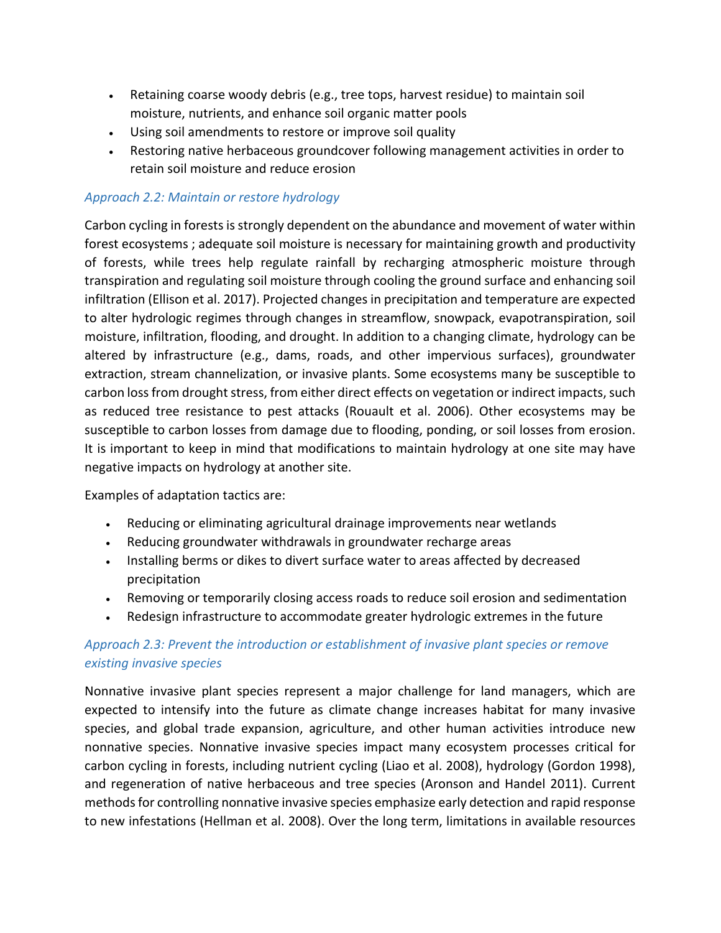- Retaining coarse woody debris (e.g., tree tops, harvest residue) to maintain soil moisture, nutrients, and enhance soil organic matter pools
- Using soil amendments to restore or improve soil quality
- Restoring native herbaceous groundcover following management activities in order to retain soil moisture and reduce erosion

### *Approach 2.2: Maintain or restore hydrology*

Carbon cycling in forests is strongly dependent on the abundance and movement of water within forest ecosystems ; adequate soil moisture is necessary for maintaining growth and productivity of forests, while trees help regulate rainfall by recharging atmospheric moisture through transpiration and regulating soil moisture through cooling the ground surface and enhancing soil infiltration (Ellison et al. 2017). Projected changes in precipitation and temperature are expected to alter hydrologic regimes through changes in streamflow, snowpack, evapotranspiration, soil moisture, infiltration, flooding, and drought. In addition to a changing climate, hydrology can be altered by infrastructure (e.g., dams, roads, and other impervious surfaces), groundwater extraction, stream channelization, or invasive plants. Some ecosystems many be susceptible to carbon loss from drought stress, from either direct effects on vegetation or indirect impacts, such as reduced tree resistance to pest attacks (Rouault et al. 2006). Other ecosystems may be susceptible to carbon losses from damage due to flooding, ponding, or soil losses from erosion. It is important to keep in mind that modifications to maintain hydrology at one site may have negative impacts on hydrology at another site.

Examples of adaptation tactics are:

- Reducing or eliminating agricultural drainage improvements near wetlands
- Reducing groundwater withdrawals in groundwater recharge areas
- Installing berms or dikes to divert surface water to areas affected by decreased precipitation
- Removing or temporarily closing access roads to reduce soil erosion and sedimentation
- Redesign infrastructure to accommodate greater hydrologic extremes in the future

## *Approach 2.3: Prevent the introduction or establishment of invasive plant species or remove existing invasive species*

Nonnative invasive plant species represent a major challenge for land managers, which are expected to intensify into the future as climate change increases habitat for many invasive species, and global trade expansion, agriculture, and other human activities introduce new nonnative species. Nonnative invasive species impact many ecosystem processes critical for carbon cycling in forests, including nutrient cycling (Liao et al. 2008), hydrology (Gordon 1998), and regeneration of native herbaceous and tree species (Aronson and Handel 2011). Current methods for controlling nonnative invasive species emphasize early detection and rapid response to new infestations (Hellman et al. 2008). Over the long term, limitations in available resources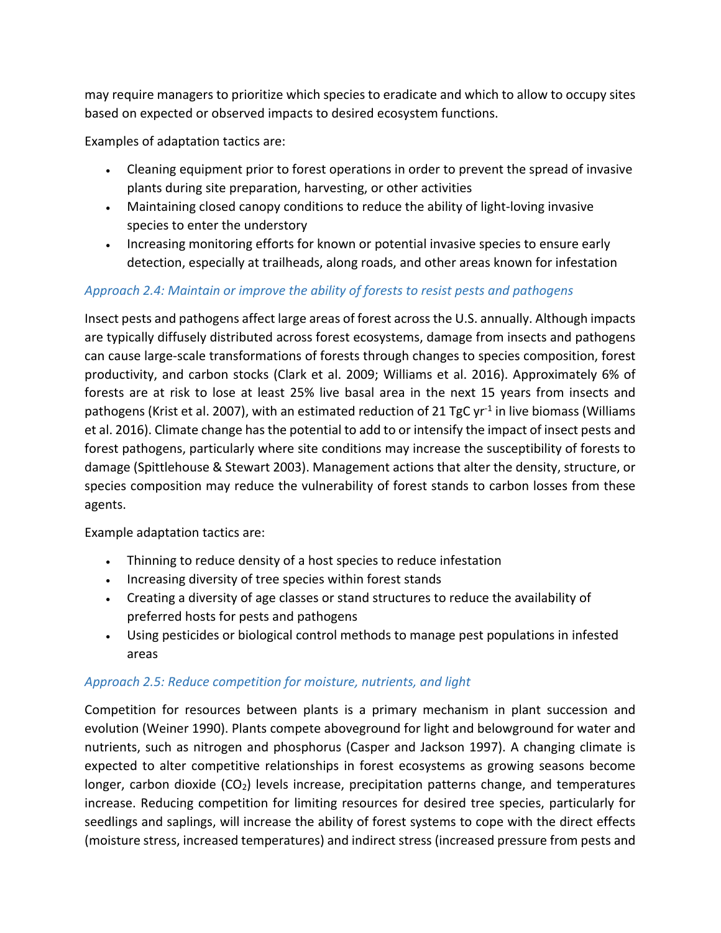may require managers to prioritize which species to eradicate and which to allow to occupy sites based on expected or observed impacts to desired ecosystem functions.

Examples of adaptation tactics are:

- Cleaning equipment prior to forest operations in order to prevent the spread of invasive plants during site preparation, harvesting, or other activities
- Maintaining closed canopy conditions to reduce the ability of light-loving invasive species to enter the understory
- Increasing monitoring efforts for known or potential invasive species to ensure early detection, especially at trailheads, along roads, and other areas known for infestation

### *Approach 2.4: Maintain or improve the ability of forests to resist pests and pathogens*

Insect pests and pathogens affect large areas of forest across the U.S. annually. Although impacts are typically diffusely distributed across forest ecosystems, damage from insects and pathogens can cause large-scale transformations of forests through changes to species composition, forest productivity, and carbon stocks (Clark et al. 2009; Williams et al. 2016). Approximately 6% of forests are at risk to lose at least 25% live basal area in the next 15 years from insects and pathogens (Krist et al. 2007), with an estimated reduction of 21 TgC  $yr<sup>-1</sup>$  in live biomass (Williams et al. 2016). Climate change has the potential to add to or intensify the impact of insect pests and forest pathogens, particularly where site conditions may increase the susceptibility of forests to damage (Spittlehouse & Stewart 2003). Management actions that alter the density, structure, or species composition may reduce the vulnerability of forest stands to carbon losses from these agents.

Example adaptation tactics are:

- Thinning to reduce density of a host species to reduce infestation
- Increasing diversity of tree species within forest stands
- Creating a diversity of age classes or stand structures to reduce the availability of preferred hosts for pests and pathogens
- Using pesticides or biological control methods to manage pest populations in infested areas

### *Approach 2.5: Reduce competition for moisture, nutrients, and light*

Competition for resources between plants is a primary mechanism in plant succession and evolution (Weiner 1990). Plants compete aboveground for light and belowground for water and nutrients, such as nitrogen and phosphorus (Casper and Jackson 1997). A changing climate is expected to alter competitive relationships in forest ecosystems as growing seasons become longer, carbon dioxide (CO<sub>2</sub>) levels increase, precipitation patterns change, and temperatures increase. Reducing competition for limiting resources for desired tree species, particularly for seedlings and saplings, will increase the ability of forest systems to cope with the direct effects (moisture stress, increased temperatures) and indirect stress (increased pressure from pests and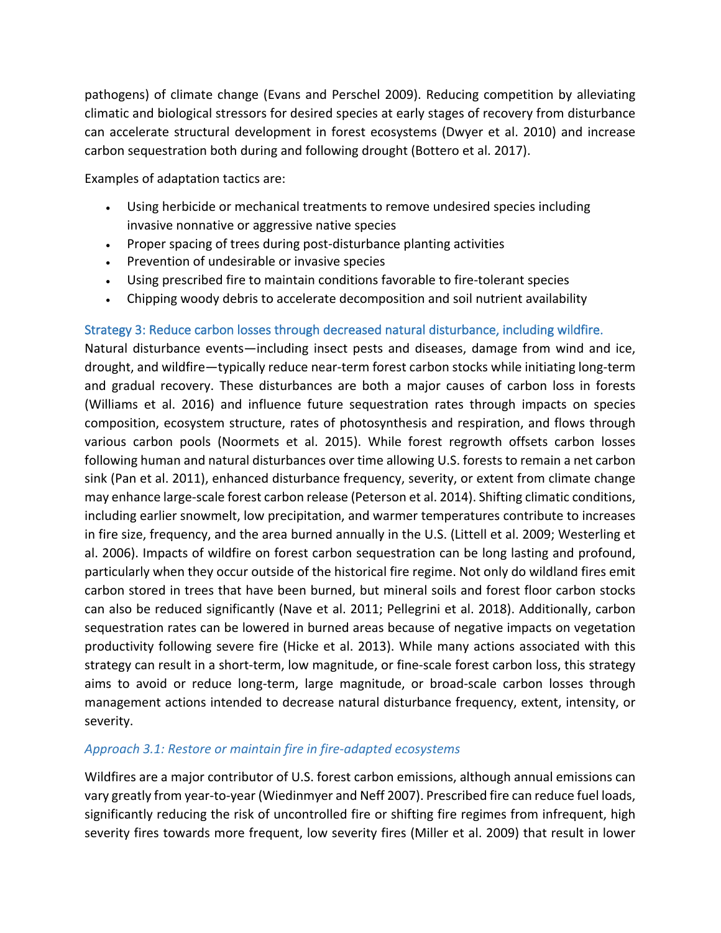pathogens) of climate change (Evans and Perschel 2009). Reducing competition by alleviating climatic and biological stressors for desired species at early stages of recovery from disturbance can accelerate structural development in forest ecosystems (Dwyer et al. 2010) and increase carbon sequestration both during and following drought (Bottero et al. 2017).

Examples of adaptation tactics are:

- Using herbicide or mechanical treatments to remove undesired species including invasive nonnative or aggressive native species
- Proper spacing of trees during post-disturbance planting activities
- Prevention of undesirable or invasive species
- Using prescribed fire to maintain conditions favorable to fire-tolerant species
- Chipping woody debris to accelerate decomposition and soil nutrient availability

### Strategy 3: Reduce carbon losses through decreased natural disturbance, including wildfire.

Natural disturbance events—including insect pests and diseases, damage from wind and ice, drought, and wildfire—typically reduce near-term forest carbon stocks while initiating long-term and gradual recovery. These disturbances are both a major causes of carbon loss in forests (Williams et al. 2016) and influence future sequestration rates through impacts on species composition, ecosystem structure, rates of photosynthesis and respiration, and flows through various carbon pools (Noormets et al. 2015). While forest regrowth offsets carbon losses following human and natural disturbances over time allowing U.S. forests to remain a net carbon sink (Pan et al. 2011), enhanced disturbance frequency, severity, or extent from climate change may enhance large-scale forest carbon release (Peterson et al. 2014). Shifting climatic conditions, including earlier snowmelt, low precipitation, and warmer temperatures contribute to increases in fire size, frequency, and the area burned annually in the U.S. (Littell et al. 2009; Westerling et al. 2006). Impacts of wildfire on forest carbon sequestration can be long lasting and profound, particularly when they occur outside of the historical fire regime. Not only do wildland fires emit carbon stored in trees that have been burned, but mineral soils and forest floor carbon stocks can also be reduced significantly (Nave et al. 2011; Pellegrini et al. 2018). Additionally, carbon sequestration rates can be lowered in burned areas because of negative impacts on vegetation productivity following severe fire (Hicke et al. 2013). While many actions associated with this strategy can result in a short-term, low magnitude, or fine-scale forest carbon loss, this strategy aims to avoid or reduce long-term, large magnitude, or broad-scale carbon losses through management actions intended to decrease natural disturbance frequency, extent, intensity, or severity.

### *Approach 3.1: Restore or maintain fire in fire-adapted ecosystems*

Wildfires are a major contributor of U.S. forest carbon emissions, although annual emissions can vary greatly from year-to-year (Wiedinmyer and Neff 2007). Prescribed fire can reduce fuel loads, significantly reducing the risk of uncontrolled fire or shifting fire regimes from infrequent, high severity fires towards more frequent, low severity fires (Miller et al. 2009) that result in lower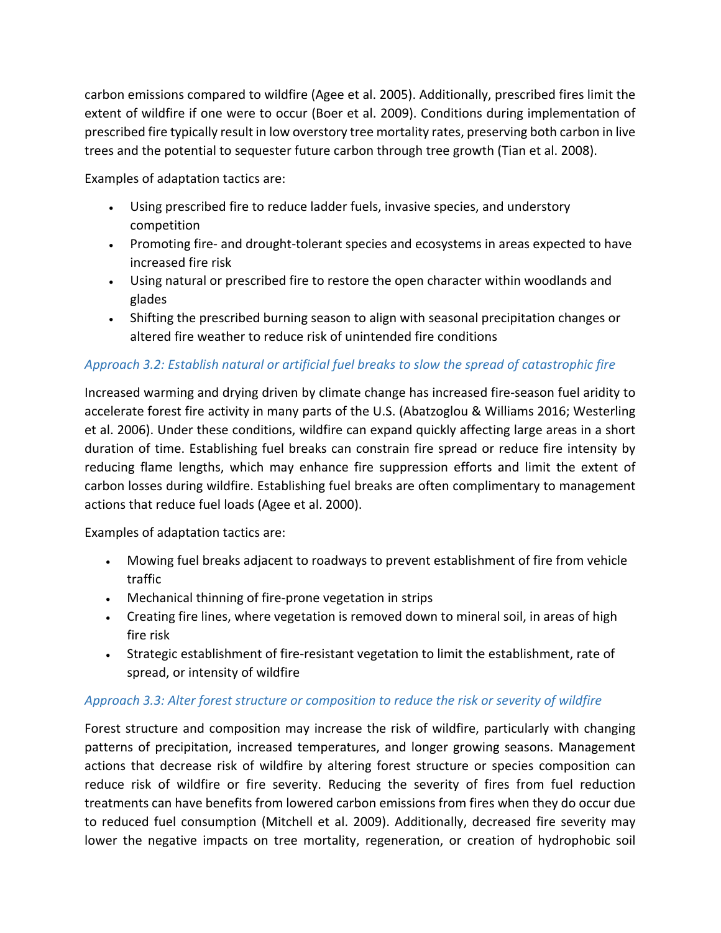carbon emissions compared to wildfire (Agee et al. 2005). Additionally, prescribed fires limit the extent of wildfire if one were to occur (Boer et al. 2009). Conditions during implementation of prescribed fire typically result in low overstory tree mortality rates, preserving both carbon in live trees and the potential to sequester future carbon through tree growth (Tian et al. 2008).

Examples of adaptation tactics are:

- Using prescribed fire to reduce ladder fuels, invasive species, and understory competition
- Promoting fire- and drought-tolerant species and ecosystems in areas expected to have increased fire risk
- Using natural or prescribed fire to restore the open character within woodlands and glades
- Shifting the prescribed burning season to align with seasonal precipitation changes or altered fire weather to reduce risk of unintended fire conditions

## *Approach 3.2: Establish natural or artificial fuel breaks to slow the spread of catastrophic fire*

Increased warming and drying driven by climate change has increased fire-season fuel aridity to accelerate forest fire activity in many parts of the U.S. (Abatzoglou & Williams 2016; Westerling et al. 2006). Under these conditions, wildfire can expand quickly affecting large areas in a short duration of time. Establishing fuel breaks can constrain fire spread or reduce fire intensity by reducing flame lengths, which may enhance fire suppression efforts and limit the extent of carbon losses during wildfire. Establishing fuel breaks are often complimentary to management actions that reduce fuel loads (Agee et al. 2000).

Examples of adaptation tactics are:

- Mowing fuel breaks adjacent to roadways to prevent establishment of fire from vehicle traffic
- Mechanical thinning of fire-prone vegetation in strips
- Creating fire lines, where vegetation is removed down to mineral soil, in areas of high fire risk
- Strategic establishment of fire-resistant vegetation to limit the establishment, rate of spread, or intensity of wildfire

### *Approach 3.3: Alter forest structure or composition to reduce the risk or severity of wildfire*

Forest structure and composition may increase the risk of wildfire, particularly with changing patterns of precipitation, increased temperatures, and longer growing seasons. Management actions that decrease risk of wildfire by altering forest structure or species composition can reduce risk of wildfire or fire severity. Reducing the severity of fires from fuel reduction treatments can have benefits from lowered carbon emissions from fires when they do occur due to reduced fuel consumption (Mitchell et al. 2009). Additionally, decreased fire severity may lower the negative impacts on tree mortality, regeneration, or creation of hydrophobic soil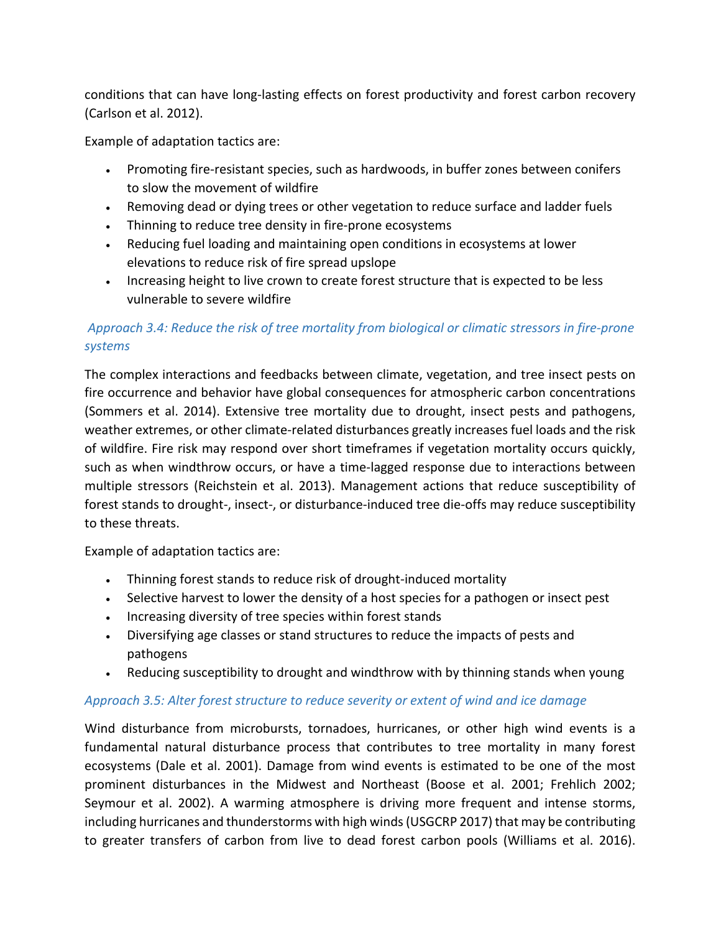conditions that can have long-lasting effects on forest productivity and forest carbon recovery (Carlson et al. 2012).

Example of adaptation tactics are:

- Promoting fire-resistant species, such as hardwoods, in buffer zones between conifers to slow the movement of wildfire
- Removing dead or dying trees or other vegetation to reduce surface and ladder fuels
- Thinning to reduce tree density in fire-prone ecosystems
- Reducing fuel loading and maintaining open conditions in ecosystems at lower elevations to reduce risk of fire spread upslope
- Increasing height to live crown to create forest structure that is expected to be less vulnerable to severe wildfire

## *Approach 3.4: Reduce the risk of tree mortality from biological or climatic stressors in fire-prone systems*

The complex interactions and feedbacks between climate, vegetation, and tree insect pests on fire occurrence and behavior have global consequences for atmospheric carbon concentrations (Sommers et al. 2014). Extensive tree mortality due to drought, insect pests and pathogens, weather extremes, or other climate-related disturbances greatly increases fuel loads and the risk of wildfire. Fire risk may respond over short timeframes if vegetation mortality occurs quickly, such as when windthrow occurs, or have a time-lagged response due to interactions between multiple stressors (Reichstein et al. 2013). Management actions that reduce susceptibility of forest stands to drought-, insect-, or disturbance-induced tree die-offs may reduce susceptibility to these threats.

Example of adaptation tactics are:

- Thinning forest stands to reduce risk of drought-induced mortality
- Selective harvest to lower the density of a host species for a pathogen or insect pest
- Increasing diversity of tree species within forest stands
- Diversifying age classes or stand structures to reduce the impacts of pests and pathogens
- Reducing susceptibility to drought and windthrow with by thinning stands when young

#### *Approach 3.5: Alter forest structure to reduce severity or extent of wind and ice damage*

Wind disturbance from microbursts, tornadoes, hurricanes, or other high wind events is a fundamental natural disturbance process that contributes to tree mortality in many forest ecosystems (Dale et al. 2001). Damage from wind events is estimated to be one of the most prominent disturbances in the Midwest and Northeast (Boose et al. 2001; Frehlich 2002; Seymour et al. 2002). A warming atmosphere is driving more frequent and intense storms, including hurricanes and thunderstorms with high winds (USGCRP 2017) that may be contributing to greater transfers of carbon from live to dead forest carbon pools (Williams et al. 2016).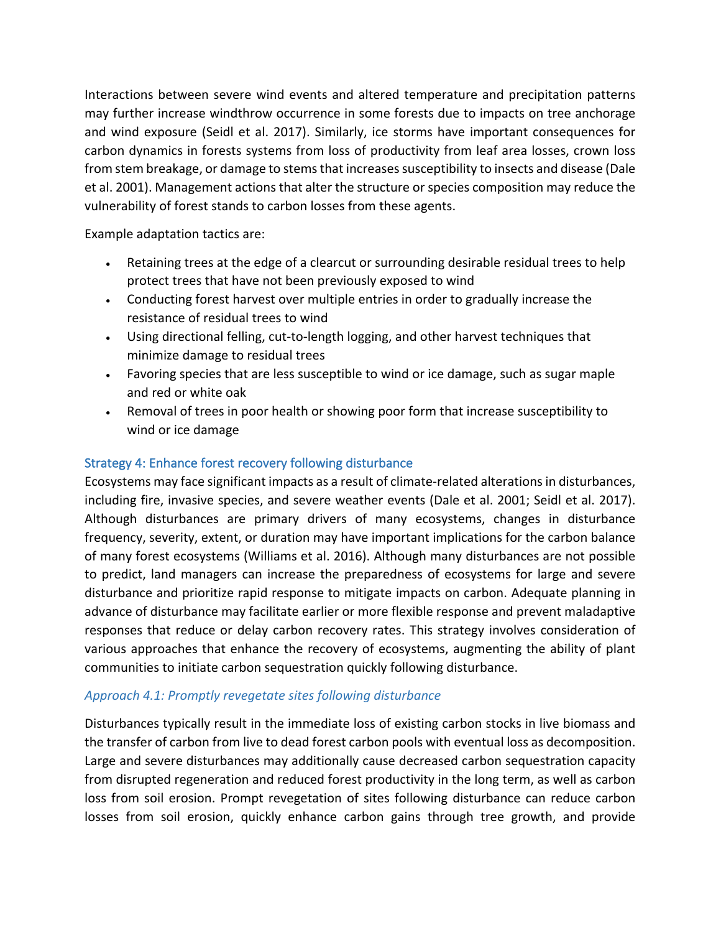Interactions between severe wind events and altered temperature and precipitation patterns may further increase windthrow occurrence in some forests due to impacts on tree anchorage and wind exposure (Seidl et al. 2017). Similarly, ice storms have important consequences for carbon dynamics in forests systems from loss of productivity from leaf area losses, crown loss from stem breakage, or damage to stems that increases susceptibility to insects and disease (Dale et al. 2001). Management actions that alter the structure or species composition may reduce the vulnerability of forest stands to carbon losses from these agents.

Example adaptation tactics are:

- Retaining trees at the edge of a clearcut or surrounding desirable residual trees to help protect trees that have not been previously exposed to wind
- Conducting forest harvest over multiple entries in order to gradually increase the resistance of residual trees to wind
- Using directional felling, cut-to-length logging, and other harvest techniques that minimize damage to residual trees
- Favoring species that are less susceptible to wind or ice damage, such as sugar maple and red or white oak
- Removal of trees in poor health or showing poor form that increase susceptibility to wind or ice damage

### Strategy 4: Enhance forest recovery following disturbance

Ecosystems may face significant impacts as a result of climate-related alterations in disturbances, including fire, invasive species, and severe weather events (Dale et al. 2001; Seidl et al. 2017). Although disturbances are primary drivers of many ecosystems, changes in disturbance frequency, severity, extent, or duration may have important implications for the carbon balance of many forest ecosystems (Williams et al. 2016). Although many disturbances are not possible to predict, land managers can increase the preparedness of ecosystems for large and severe disturbance and prioritize rapid response to mitigate impacts on carbon. Adequate planning in advance of disturbance may facilitate earlier or more flexible response and prevent maladaptive responses that reduce or delay carbon recovery rates. This strategy involves consideration of various approaches that enhance the recovery of ecosystems, augmenting the ability of plant communities to initiate carbon sequestration quickly following disturbance.

### *Approach 4.1: Promptly revegetate sites following disturbance*

Disturbances typically result in the immediate loss of existing carbon stocks in live biomass and the transfer of carbon from live to dead forest carbon pools with eventual loss as decomposition. Large and severe disturbances may additionally cause decreased carbon sequestration capacity from disrupted regeneration and reduced forest productivity in the long term, as well as carbon loss from soil erosion. Prompt revegetation of sites following disturbance can reduce carbon losses from soil erosion, quickly enhance carbon gains through tree growth, and provide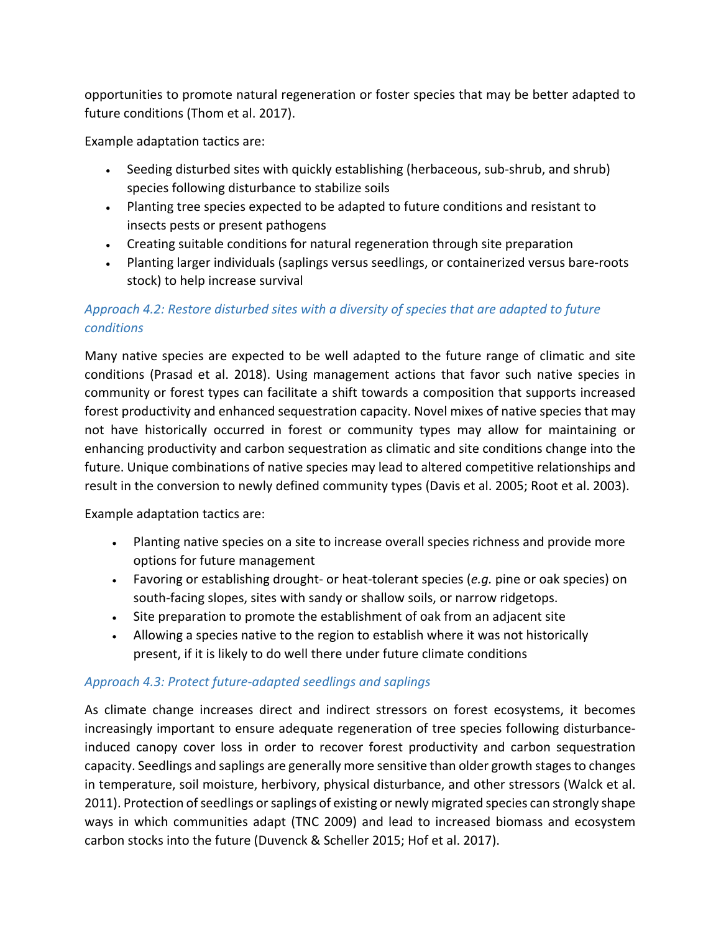opportunities to promote natural regeneration or foster species that may be better adapted to future conditions (Thom et al. 2017).

Example adaptation tactics are:

- Seeding disturbed sites with quickly establishing (herbaceous, sub-shrub, and shrub) species following disturbance to stabilize soils
- Planting tree species expected to be adapted to future conditions and resistant to insects pests or present pathogens
- Creating suitable conditions for natural regeneration through site preparation
- Planting larger individuals (saplings versus seedlings, or containerized versus bare-roots stock) to help increase survival

## *Approach 4.2: Restore disturbed sites with a diversity of species that are adapted to future conditions*

Many native species are expected to be well adapted to the future range of climatic and site conditions (Prasad et al. 2018). Using management actions that favor such native species in community or forest types can facilitate a shift towards a composition that supports increased forest productivity and enhanced sequestration capacity. Novel mixes of native species that may not have historically occurred in forest or community types may allow for maintaining or enhancing productivity and carbon sequestration as climatic and site conditions change into the future. Unique combinations of native species may lead to altered competitive relationships and result in the conversion to newly defined community types (Davis et al. 2005; Root et al. 2003).

Example adaptation tactics are:

- Planting native species on a site to increase overall species richness and provide more options for future management
- Favoring or establishing drought- or heat-tolerant species (*e.g.* pine or oak species) on south-facing slopes, sites with sandy or shallow soils, or narrow ridgetops.
- Site preparation to promote the establishment of oak from an adjacent site
- Allowing a species native to the region to establish where it was not historically present, if it is likely to do well there under future climate conditions

### *Approach 4.3: Protect future-adapted seedlings and saplings*

As climate change increases direct and indirect stressors on forest ecosystems, it becomes increasingly important to ensure adequate regeneration of tree species following disturbanceinduced canopy cover loss in order to recover forest productivity and carbon sequestration capacity. Seedlings and saplings are generally more sensitive than older growth stages to changes in temperature, soil moisture, herbivory, physical disturbance, and other stressors (Walck et al. 2011). Protection of seedlings or saplings of existing or newly migrated species can strongly shape ways in which communities adapt (TNC 2009) and lead to increased biomass and ecosystem carbon stocks into the future (Duvenck & Scheller 2015; Hof et al. 2017).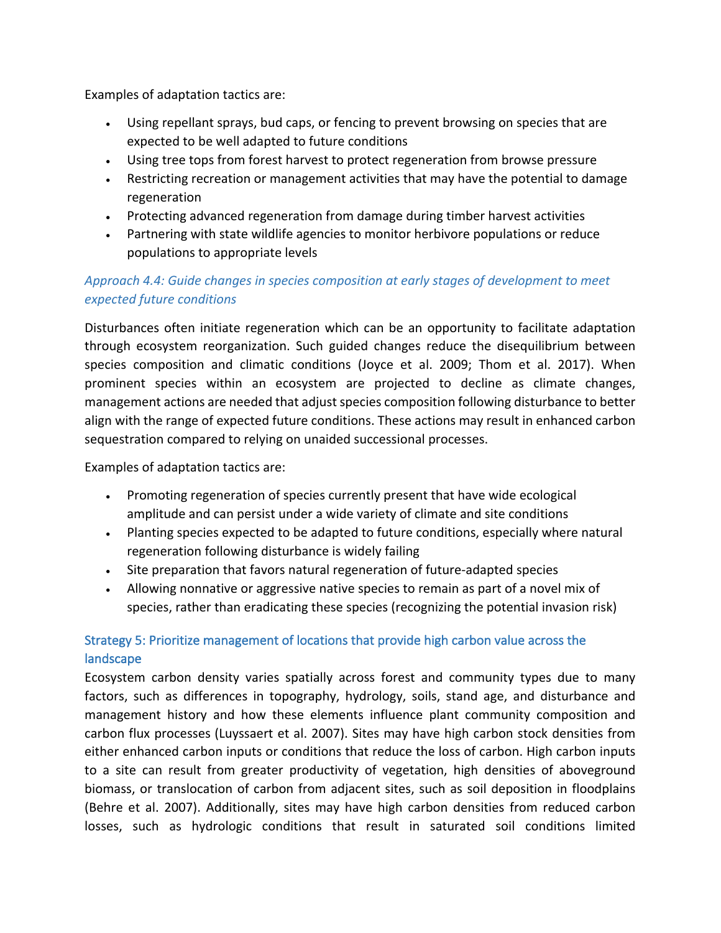Examples of adaptation tactics are:

- Using repellant sprays, bud caps, or fencing to prevent browsing on species that are expected to be well adapted to future conditions
- Using tree tops from forest harvest to protect regeneration from browse pressure
- Restricting recreation or management activities that may have the potential to damage regeneration
- Protecting advanced regeneration from damage during timber harvest activities
- Partnering with state wildlife agencies to monitor herbivore populations or reduce populations to appropriate levels

## *Approach 4.4: Guide changes in species composition at early stages of development to meet expected future conditions*

Disturbances often initiate regeneration which can be an opportunity to facilitate adaptation through ecosystem reorganization. Such guided changes reduce the disequilibrium between species composition and climatic conditions (Joyce et al. 2009; Thom et al. 2017). When prominent species within an ecosystem are projected to decline as climate changes, management actions are needed that adjust species composition following disturbance to better align with the range of expected future conditions. These actions may result in enhanced carbon sequestration compared to relying on unaided successional processes.

Examples of adaptation tactics are:

- Promoting regeneration of species currently present that have wide ecological amplitude and can persist under a wide variety of climate and site conditions
- Planting species expected to be adapted to future conditions, especially where natural regeneration following disturbance is widely failing
- Site preparation that favors natural regeneration of future-adapted species
- Allowing nonnative or aggressive native species to remain as part of a novel mix of species, rather than eradicating these species (recognizing the potential invasion risk)

## Strategy 5: Prioritize management of locations that provide high carbon value across the landscape

Ecosystem carbon density varies spatially across forest and community types due to many factors, such as differences in topography, hydrology, soils, stand age, and disturbance and management history and how these elements influence plant community composition and carbon flux processes (Luyssaert et al. 2007). Sites may have high carbon stock densities from either enhanced carbon inputs or conditions that reduce the loss of carbon. High carbon inputs to a site can result from greater productivity of vegetation, high densities of aboveground biomass, or translocation of carbon from adjacent sites, such as soil deposition in floodplains (Behre et al. 2007). Additionally, sites may have high carbon densities from reduced carbon losses, such as hydrologic conditions that result in saturated soil conditions limited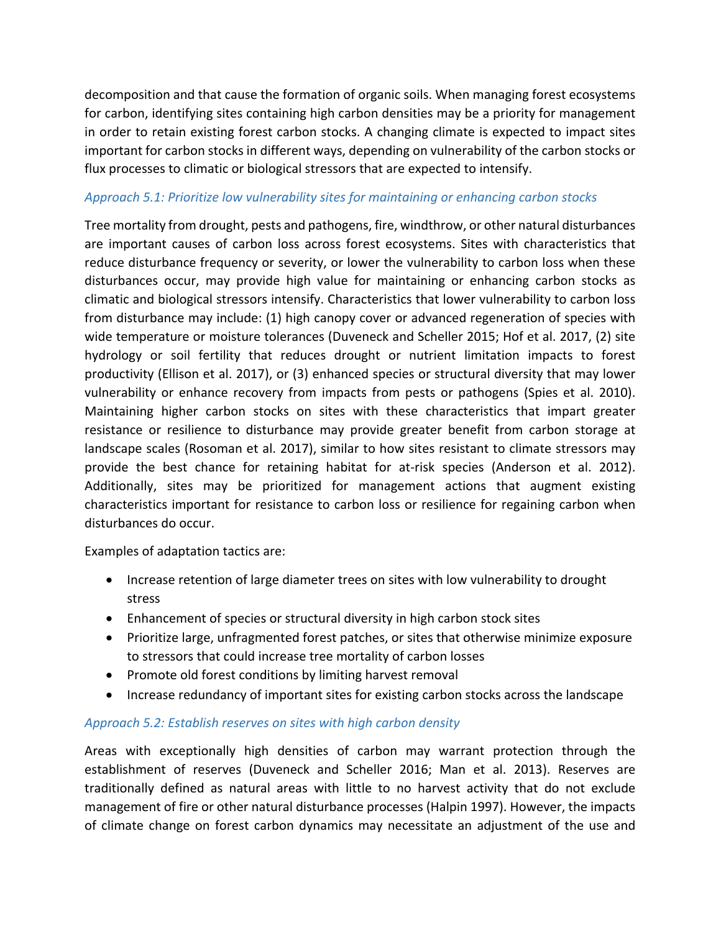decomposition and that cause the formation of organic soils. When managing forest ecosystems for carbon, identifying sites containing high carbon densities may be a priority for management in order to retain existing forest carbon stocks. A changing climate is expected to impact sites important for carbon stocks in different ways, depending on vulnerability of the carbon stocks or flux processes to climatic or biological stressors that are expected to intensify.

### *Approach 5.1: Prioritize low vulnerability sites for maintaining or enhancing carbon stocks*

Tree mortality from drought, pests and pathogens, fire, windthrow, or other natural disturbances are important causes of carbon loss across forest ecosystems. Sites with characteristics that reduce disturbance frequency or severity, or lower the vulnerability to carbon loss when these disturbances occur, may provide high value for maintaining or enhancing carbon stocks as climatic and biological stressors intensify. Characteristics that lower vulnerability to carbon loss from disturbance may include: (1) high canopy cover or advanced regeneration of species with wide temperature or moisture tolerances (Duveneck and Scheller 2015; Hof et al. 2017, (2) site hydrology or soil fertility that reduces drought or nutrient limitation impacts to forest productivity (Ellison et al. 2017), or (3) enhanced species or structural diversity that may lower vulnerability or enhance recovery from impacts from pests or pathogens (Spies et al. 2010). Maintaining higher carbon stocks on sites with these characteristics that impart greater resistance or resilience to disturbance may provide greater benefit from carbon storage at landscape scales (Rosoman et al. 2017), similar to how sites resistant to climate stressors may provide the best chance for retaining habitat for at-risk species (Anderson et al. 2012). Additionally, sites may be prioritized for management actions that augment existing characteristics important for resistance to carbon loss or resilience for regaining carbon when disturbances do occur.

Examples of adaptation tactics are:

- Increase retention of large diameter trees on sites with low vulnerability to drought stress
- Enhancement of species or structural diversity in high carbon stock sites
- Prioritize large, unfragmented forest patches, or sites that otherwise minimize exposure to stressors that could increase tree mortality of carbon losses
- Promote old forest conditions by limiting harvest removal
- Increase redundancy of important sites for existing carbon stocks across the landscape

### *Approach 5.2: Establish reserves on sites with high carbon density*

Areas with exceptionally high densities of carbon may warrant protection through the establishment of reserves (Duveneck and Scheller 2016; Man et al. 2013). Reserves are traditionally defined as natural areas with little to no harvest activity that do not exclude management of fire or other natural disturbance processes (Halpin 1997). However, the impacts of climate change on forest carbon dynamics may necessitate an adjustment of the use and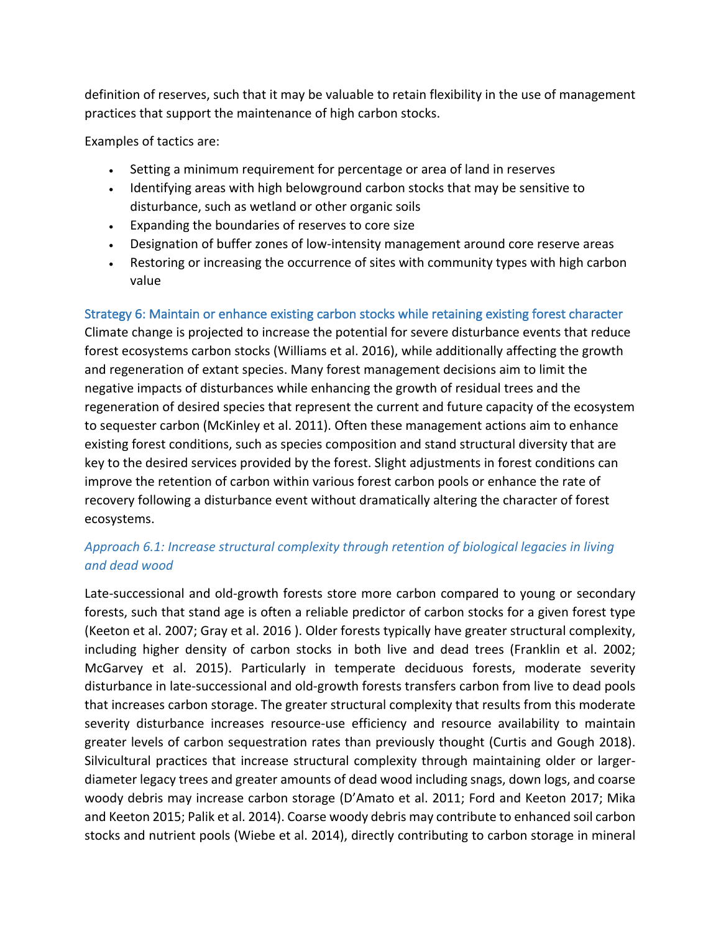definition of reserves, such that it may be valuable to retain flexibility in the use of management practices that support the maintenance of high carbon stocks.

Examples of tactics are:

- Setting a minimum requirement for percentage or area of land in reserves
- Identifying areas with high belowground carbon stocks that may be sensitive to disturbance, such as wetland or other organic soils
- Expanding the boundaries of reserves to core size
- Designation of buffer zones of low-intensity management around core reserve areas
- Restoring or increasing the occurrence of sites with community types with high carbon value

Strategy 6: Maintain or enhance existing carbon stocks while retaining existing forest character Climate change is projected to increase the potential for severe disturbance events that reduce forest ecosystems carbon stocks (Williams et al. 2016), while additionally affecting the growth and regeneration of extant species. Many forest management decisions aim to limit the negative impacts of disturbances while enhancing the growth of residual trees and the regeneration of desired species that represent the current and future capacity of the ecosystem to sequester carbon (McKinley et al. 2011). Often these management actions aim to enhance existing forest conditions, such as species composition and stand structural diversity that are key to the desired services provided by the forest. Slight adjustments in forest conditions can improve the retention of carbon within various forest carbon pools or enhance the rate of recovery following a disturbance event without dramatically altering the character of forest ecosystems.

## *Approach 6.1: Increase structural complexity through retention of biological legacies in living and dead wood*

Late-successional and old-growth forests store more carbon compared to young or secondary forests, such that stand age is often a reliable predictor of carbon stocks for a given forest type (Keeton et al. 2007; Gray et al. 2016 ). Older forests typically have greater structural complexity, including higher density of carbon stocks in both live and dead trees (Franklin et al. 2002; McGarvey et al. 2015). Particularly in temperate deciduous forests, moderate severity disturbance in late-successional and old-growth forests transfers carbon from live to dead pools that increases carbon storage. The greater structural complexity that results from this moderate severity disturbance increases resource-use efficiency and resource availability to maintain greater levels of carbon sequestration rates than previously thought (Curtis and Gough 2018). Silvicultural practices that increase structural complexity through maintaining older or largerdiameter legacy trees and greater amounts of dead wood including snags, down logs, and coarse woody debris may increase carbon storage (D'Amato et al. 2011; Ford and Keeton 2017; Mika and Keeton 2015; Palik et al. 2014). Coarse woody debris may contribute to enhanced soil carbon stocks and nutrient pools (Wiebe et al. 2014), directly contributing to carbon storage in mineral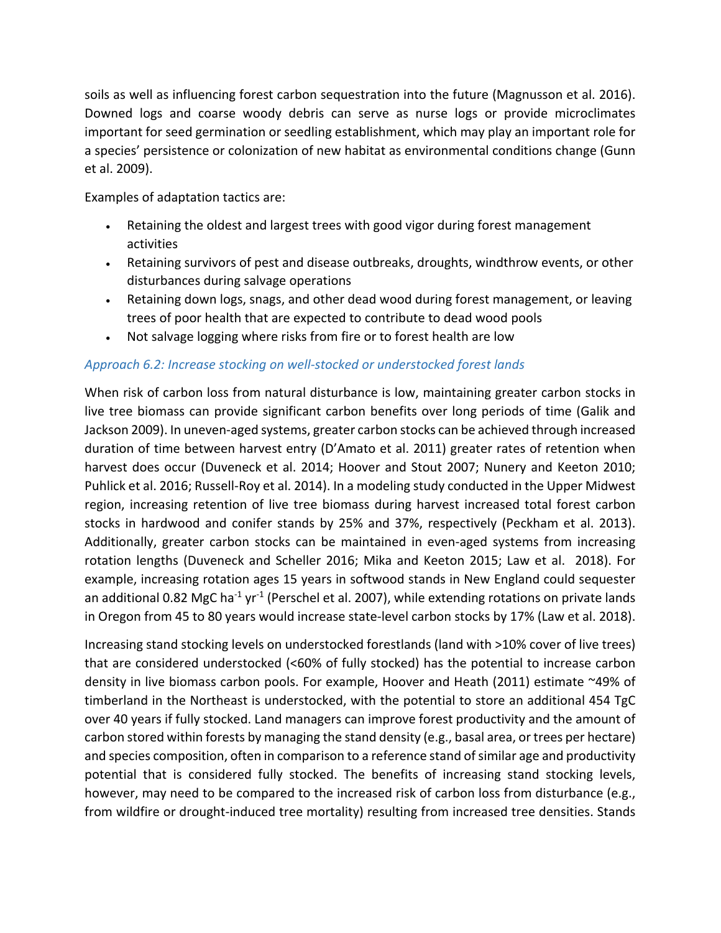soils as well as influencing forest carbon sequestration into the future (Magnusson et al. 2016). Downed logs and coarse woody debris can serve as nurse logs or provide microclimates important for seed germination or seedling establishment, which may play an important role for a species' persistence or colonization of new habitat as environmental conditions change (Gunn et al. 2009).

Examples of adaptation tactics are:

- Retaining the oldest and largest trees with good vigor during forest management activities
- Retaining survivors of pest and disease outbreaks, droughts, windthrow events, or other disturbances during salvage operations
- Retaining down logs, snags, and other dead wood during forest management, or leaving trees of poor health that are expected to contribute to dead wood pools
- Not salvage logging where risks from fire or to forest health are low

### *Approach 6.2: Increase stocking on well-stocked or understocked forest lands*

When risk of carbon loss from natural disturbance is low, maintaining greater carbon stocks in live tree biomass can provide significant carbon benefits over long periods of time (Galik and Jackson 2009). In uneven-aged systems, greater carbon stocks can be achieved through increased duration of time between harvest entry (D'Amato et al. 2011) greater rates of retention when harvest does occur (Duveneck et al. 2014; Hoover and Stout 2007; Nunery and Keeton 2010; Puhlick et al. 2016; Russell-Roy et al. 2014). In a modeling study conducted in the Upper Midwest region, increasing retention of live tree biomass during harvest increased total forest carbon stocks in hardwood and conifer stands by 25% and 37%, respectively (Peckham et al. 2013). Additionally, greater carbon stocks can be maintained in even-aged systems from increasing rotation lengths (Duveneck and Scheller 2016; Mika and Keeton 2015; Law et al. 2018). For example, increasing rotation ages 15 years in softwood stands in New England could sequester an additional 0.82 MgC ha<sup>-1</sup> yr<sup>-1</sup> (Perschel et al. 2007), while extending rotations on private lands in Oregon from 45 to 80 years would increase state-level carbon stocks by 17% (Law et al. 2018).

Increasing stand stocking levels on understocked forestlands (land with >10% cover of live trees) that are considered understocked (<60% of fully stocked) has the potential to increase carbon density in live biomass carbon pools. For example, Hoover and Heath (2011) estimate ~49% of timberland in the Northeast is understocked, with the potential to store an additional 454 TgC over 40 years if fully stocked. Land managers can improve forest productivity and the amount of carbon stored within forests by managing the stand density (e.g., basal area, or trees per hectare) and species composition, often in comparison to a reference stand of similar age and productivity potential that is considered fully stocked. The benefits of increasing stand stocking levels, however, may need to be compared to the increased risk of carbon loss from disturbance (e.g., from wildfire or drought-induced tree mortality) resulting from increased tree densities. Stands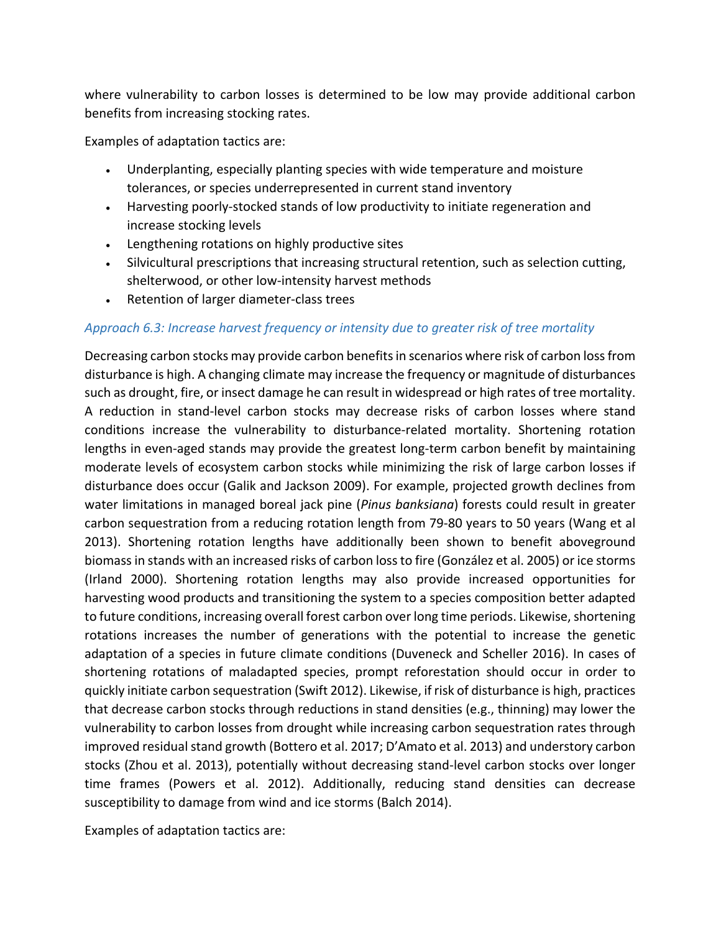where vulnerability to carbon losses is determined to be low may provide additional carbon benefits from increasing stocking rates.

Examples of adaptation tactics are:

- Underplanting, especially planting species with wide temperature and moisture tolerances, or species underrepresented in current stand inventory
- Harvesting poorly-stocked stands of low productivity to initiate regeneration and increase stocking levels
- Lengthening rotations on highly productive sites
- Silvicultural prescriptions that increasing structural retention, such as selection cutting, shelterwood, or other low-intensity harvest methods
- Retention of larger diameter-class trees

### *Approach 6.3: Increase harvest frequency or intensity due to greater risk of tree mortality*

Decreasing carbon stocks may provide carbon benefits in scenarios where risk of carbon loss from disturbance is high. A changing climate may increase the frequency or magnitude of disturbances such as drought, fire, or insect damage he can result in widespread or high rates of tree mortality. A reduction in stand-level carbon stocks may decrease risks of carbon losses where stand conditions increase the vulnerability to disturbance-related mortality. Shortening rotation lengths in even-aged stands may provide the greatest long-term carbon benefit by maintaining moderate levels of ecosystem carbon stocks while minimizing the risk of large carbon losses if disturbance does occur (Galik and Jackson 2009). For example, projected growth declines from water limitations in managed boreal jack pine (*Pinus banksiana*) forests could result in greater carbon sequestration from a reducing rotation length from 79-80 years to 50 years (Wang et al 2013). Shortening rotation lengths have additionally been shown to benefit aboveground biomass in stands with an increased risks of carbon lossto fire (González et al. 2005) or ice storms (Irland 2000). Shortening rotation lengths may also provide increased opportunities for harvesting wood products and transitioning the system to a species composition better adapted to future conditions, increasing overall forest carbon over long time periods. Likewise, shortening rotations increases the number of generations with the potential to increase the genetic adaptation of a species in future climate conditions (Duveneck and Scheller 2016). In cases of shortening rotations of maladapted species, prompt reforestation should occur in order to quickly initiate carbon sequestration (Swift 2012). Likewise, if risk of disturbance is high, practices that decrease carbon stocks through reductions in stand densities (e.g., thinning) may lower the vulnerability to carbon losses from drought while increasing carbon sequestration rates through improved residual stand growth (Bottero et al. 2017; D'Amato et al. 2013) and understory carbon stocks (Zhou et al. 2013), potentially without decreasing stand-level carbon stocks over longer time frames (Powers et al. 2012). Additionally, reducing stand densities can decrease susceptibility to damage from wind and ice storms (Balch 2014).

Examples of adaptation tactics are: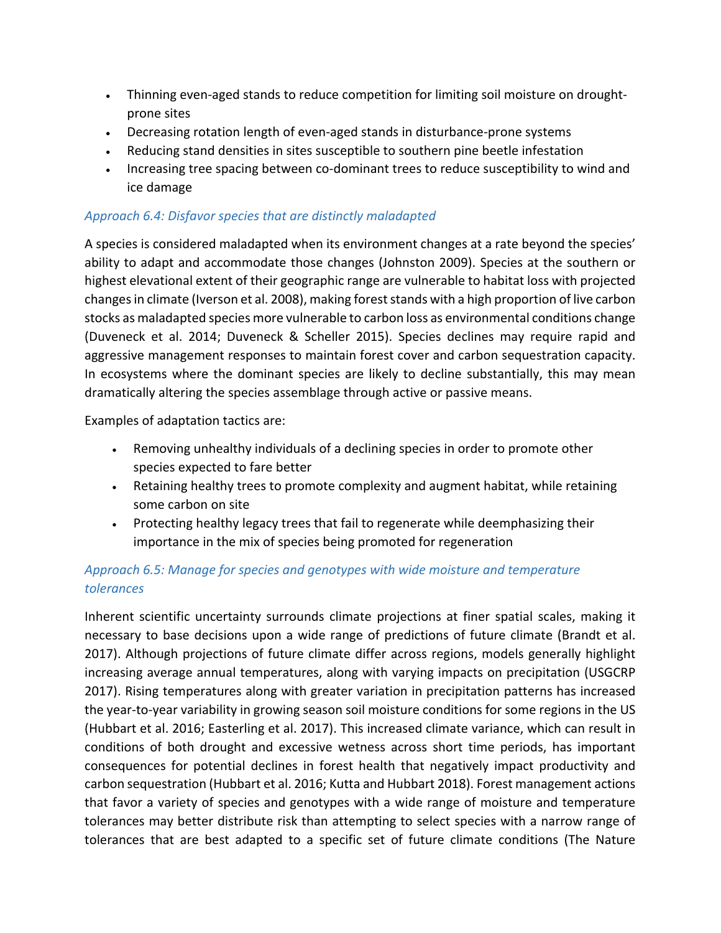- Thinning even-aged stands to reduce competition for limiting soil moisture on droughtprone sites
- Decreasing rotation length of even-aged stands in disturbance-prone systems
- Reducing stand densities in sites susceptible to southern pine beetle infestation
- Increasing tree spacing between co-dominant trees to reduce susceptibility to wind and ice damage

### *Approach 6.4: Disfavor species that are distinctly maladapted*

A species is considered maladapted when its environment changes at a rate beyond the species' ability to adapt and accommodate those changes (Johnston 2009). Species at the southern or highest elevational extent of their geographic range are vulnerable to habitat loss with projected changes in climate (Iverson et al. 2008), making forest stands with a high proportion of live carbon stocks as maladapted species more vulnerable to carbon loss as environmental conditions change (Duveneck et al. 2014; Duveneck & Scheller 2015). Species declines may require rapid and aggressive management responses to maintain forest cover and carbon sequestration capacity. In ecosystems where the dominant species are likely to decline substantially, this may mean dramatically altering the species assemblage through active or passive means.

Examples of adaptation tactics are:

- Removing unhealthy individuals of a declining species in order to promote other species expected to fare better
- Retaining healthy trees to promote complexity and augment habitat, while retaining some carbon on site
- Protecting healthy legacy trees that fail to regenerate while deemphasizing their importance in the mix of species being promoted for regeneration

## *Approach 6.5: Manage for species and genotypes with wide moisture and temperature tolerances*

Inherent scientific uncertainty surrounds climate projections at finer spatial scales, making it necessary to base decisions upon a wide range of predictions of future climate (Brandt et al. 2017). Although projections of future climate differ across regions, models generally highlight increasing average annual temperatures, along with varying impacts on precipitation (USGCRP 2017). Rising temperatures along with greater variation in precipitation patterns has increased the year-to-year variability in growing season soil moisture conditions for some regions in the US (Hubbart et al. 2016; Easterling et al. 2017). This increased climate variance, which can result in conditions of both drought and excessive wetness across short time periods, has important consequences for potential declines in forest health that negatively impact productivity and carbon sequestration (Hubbart et al. 2016; Kutta and Hubbart 2018). Forest management actions that favor a variety of species and genotypes with a wide range of moisture and temperature tolerances may better distribute risk than attempting to select species with a narrow range of tolerances that are best adapted to a specific set of future climate conditions (The Nature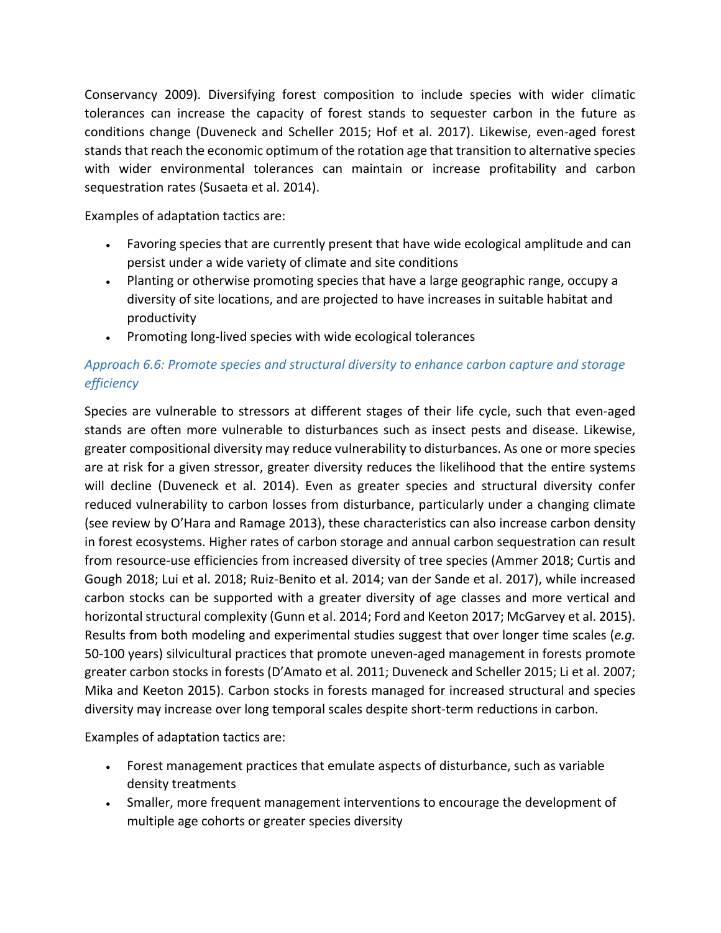Conservancy 2009). Diversifying forest composition to include species with wider climatic tolerances can increase the capacity of forest stands to sequester carbon in the future as conditions change (Duveneck and Scheller 2015; Hof et al. 2017). Likewise, even-aged forest stands that reach the economic optimum of the rotation age that transition to alternative species with wider environmental tolerances can maintain or increase profitability and carbon sequestration rates (Susaeta et al. 2014).

Examples of adaptation tactics are:

- Favoring species that are currently present that have wide ecological amplitude and can persist under a wide variety of climate and site conditions
- Planting or otherwise promoting species that have a large geographic range, occupy a diversity of site locations, and are projected to have increases in suitable habitat and productivity
- Promoting long-lived species with wide ecological tolerances

## *Approach 6.6: Promote species and structural diversity to enhance carbon capture and storage efficiency*

Species are vulnerable to stressors at different stages of their life cycle, such that even-aged stands are often more vulnerable to disturbances such as insect pests and disease. Likewise, greater compositional diversity may reduce vulnerability to disturbances. As one or more species are at risk for a given stressor, greater diversity reduces the likelihood that the entire systems will decline (Duveneck et al. 2014). Even as greater species and structural diversity confer reduced vulnerability to carbon losses from disturbance, particularly under a changing climate (see review by O'Hara and Ramage 2013), these characteristics can also increase carbon density in forest ecosystems. Higher rates of carbon storage and annual carbon sequestration can result from resource-use efficiencies from increased diversity of tree species (Ammer 2018; Curtis and Gough 2018; Lui et al. 2018; Ruiz-Benito et al. 2014; van der Sande et al. 2017), while increased carbon stocks can be supported with a greater diversity of age classes and more vertical and horizontal structural complexity (Gunn et al. 2014; Ford and Keeton 2017; McGarvey et al. 2015). Results from both modeling and experimental studies suggest that over longer time scales (*e.g.*  50-100 years) silvicultural practices that promote uneven-aged management in forests promote greater carbon stocks in forests (D'Amato et al. 2011; Duveneck and Scheller 2015; Li et al. 2007; Mika and Keeton 2015). Carbon stocks in forests managed for increased structural and species diversity may increase over long temporal scales despite short-term reductions in carbon.

Examples of adaptation tactics are:

- Forest management practices that emulate aspects of disturbance, such as variable density treatments
- Smaller, more frequent management interventions to encourage the development of multiple age cohorts or greater species diversity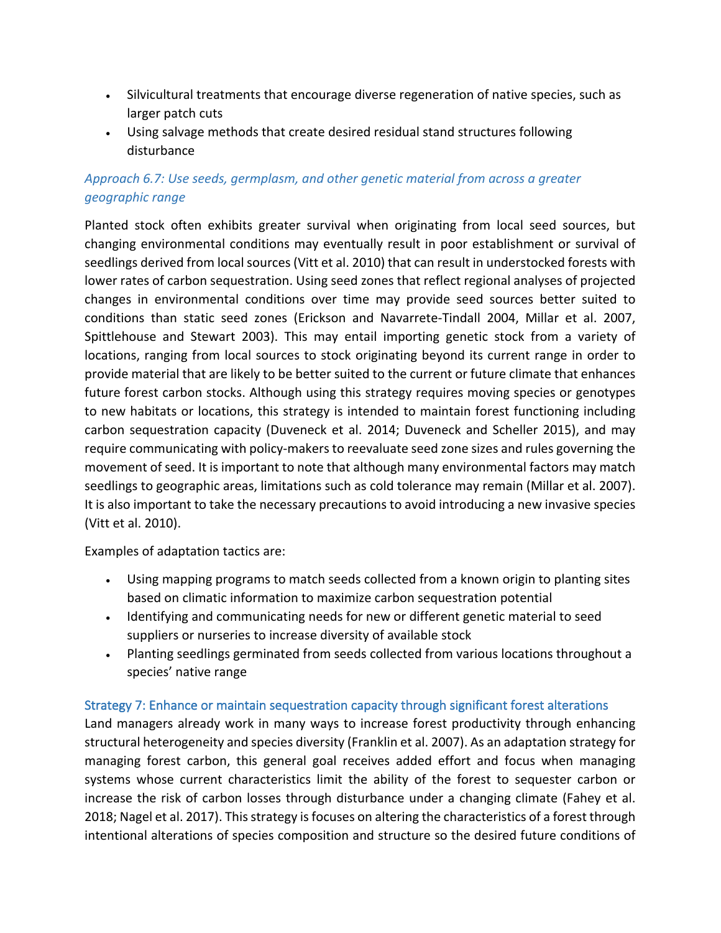- Silvicultural treatments that encourage diverse regeneration of native species, such as larger patch cuts
- Using salvage methods that create desired residual stand structures following disturbance

## *Approach 6.7: Use seeds, germplasm, and other genetic material from across a greater geographic range*

Planted stock often exhibits greater survival when originating from local seed sources, but changing environmental conditions may eventually result in poor establishment or survival of seedlings derived from local sources (Vitt et al. 2010) that can result in understocked forests with lower rates of carbon sequestration. Using seed zones that reflect regional analyses of projected changes in environmental conditions over time may provide seed sources better suited to conditions than static seed zones (Erickson and Navarrete-Tindall 2004, Millar et al. 2007, Spittlehouse and Stewart 2003). This may entail importing genetic stock from a variety of locations, ranging from local sources to stock originating beyond its current range in order to provide material that are likely to be better suited to the current or future climate that enhances future forest carbon stocks. Although using this strategy requires moving species or genotypes to new habitats or locations, this strategy is intended to maintain forest functioning including carbon sequestration capacity (Duveneck et al. 2014; Duveneck and Scheller 2015), and may require communicating with policy-makers to reevaluate seed zone sizes and rules governing the movement of seed. It is important to note that although many environmental factors may match seedlings to geographic areas, limitations such as cold tolerance may remain (Millar et al. 2007). It is also important to take the necessary precautions to avoid introducing a new invasive species (Vitt et al. 2010).

Examples of adaptation tactics are:

- Using mapping programs to match seeds collected from a known origin to planting sites based on climatic information to maximize carbon sequestration potential
- Identifying and communicating needs for new or different genetic material to seed suppliers or nurseries to increase diversity of available stock
- Planting seedlings germinated from seeds collected from various locations throughout a species' native range

#### Strategy 7: Enhance or maintain sequestration capacity through significant forest alterations

Land managers already work in many ways to increase forest productivity through enhancing structural heterogeneity and species diversity (Franklin et al. 2007). As an adaptation strategy for managing forest carbon, this general goal receives added effort and focus when managing systems whose current characteristics limit the ability of the forest to sequester carbon or increase the risk of carbon losses through disturbance under a changing climate (Fahey et al. 2018; Nagel et al. 2017). This strategy is focuses on altering the characteristics of a forest through intentional alterations of species composition and structure so the desired future conditions of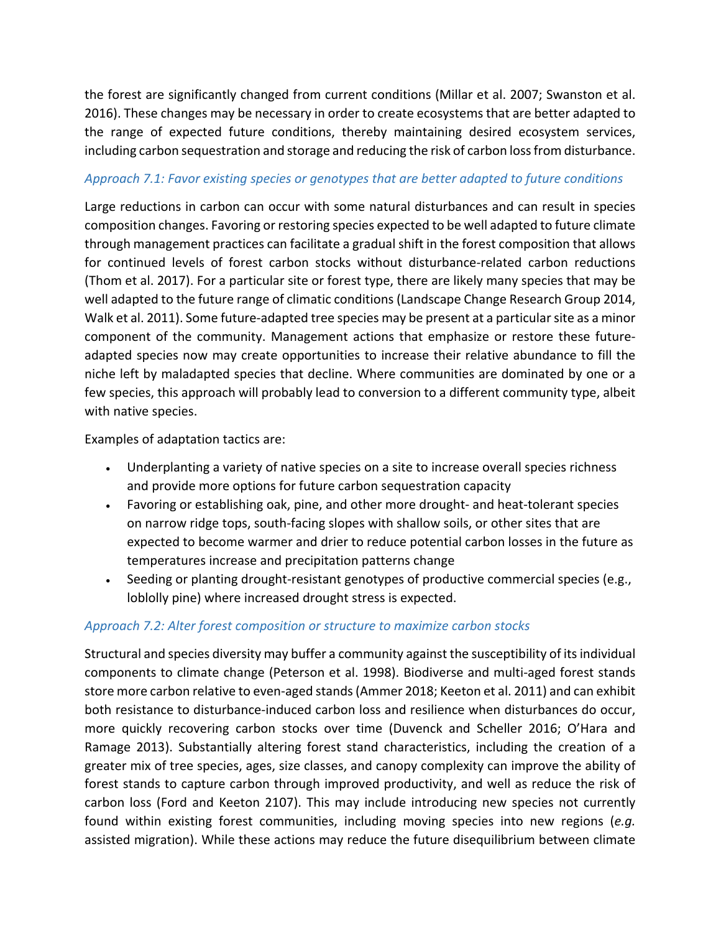the forest are significantly changed from current conditions (Millar et al. 2007; Swanston et al. 2016). These changes may be necessary in order to create ecosystems that are better adapted to the range of expected future conditions, thereby maintaining desired ecosystem services, including carbon sequestration and storage and reducing the risk of carbon loss from disturbance.

### *Approach 7.1: Favor existing species or genotypes that are better adapted to future conditions*

Large reductions in carbon can occur with some natural disturbances and can result in species composition changes. Favoring or restoring species expected to be well adapted to future climate through management practices can facilitate a gradual shift in the forest composition that allows for continued levels of forest carbon stocks without disturbance-related carbon reductions (Thom et al. 2017). For a particular site or forest type, there are likely many species that may be well adapted to the future range of climatic conditions (Landscape Change Research Group 2014, Walk et al. 2011). Some future-adapted tree species may be present at a particular site as a minor component of the community. Management actions that emphasize or restore these futureadapted species now may create opportunities to increase their relative abundance to fill the niche left by maladapted species that decline. Where communities are dominated by one or a few species, this approach will probably lead to conversion to a different community type, albeit with native species.

Examples of adaptation tactics are:

- Underplanting a variety of native species on a site to increase overall species richness and provide more options for future carbon sequestration capacity
- Favoring or establishing oak, pine, and other more drought- and heat-tolerant species on narrow ridge tops, south-facing slopes with shallow soils, or other sites that are expected to become warmer and drier to reduce potential carbon losses in the future as temperatures increase and precipitation patterns change
- Seeding or planting drought-resistant genotypes of productive commercial species (e.g., loblolly pine) where increased drought stress is expected.

### *Approach 7.2: Alter forest composition or structure to maximize carbon stocks*

Structural and species diversity may buffer a community against the susceptibility of its individual components to climate change (Peterson et al. 1998). Biodiverse and multi-aged forest stands store more carbon relative to even-aged stands (Ammer 2018; Keeton et al. 2011) and can exhibit both resistance to disturbance-induced carbon loss and resilience when disturbances do occur, more quickly recovering carbon stocks over time (Duvenck and Scheller 2016; O'Hara and Ramage 2013). Substantially altering forest stand characteristics, including the creation of a greater mix of tree species, ages, size classes, and canopy complexity can improve the ability of forest stands to capture carbon through improved productivity, and well as reduce the risk of carbon loss (Ford and Keeton 2107). This may include introducing new species not currently found within existing forest communities, including moving species into new regions (*e.g.*  assisted migration). While these actions may reduce the future disequilibrium between climate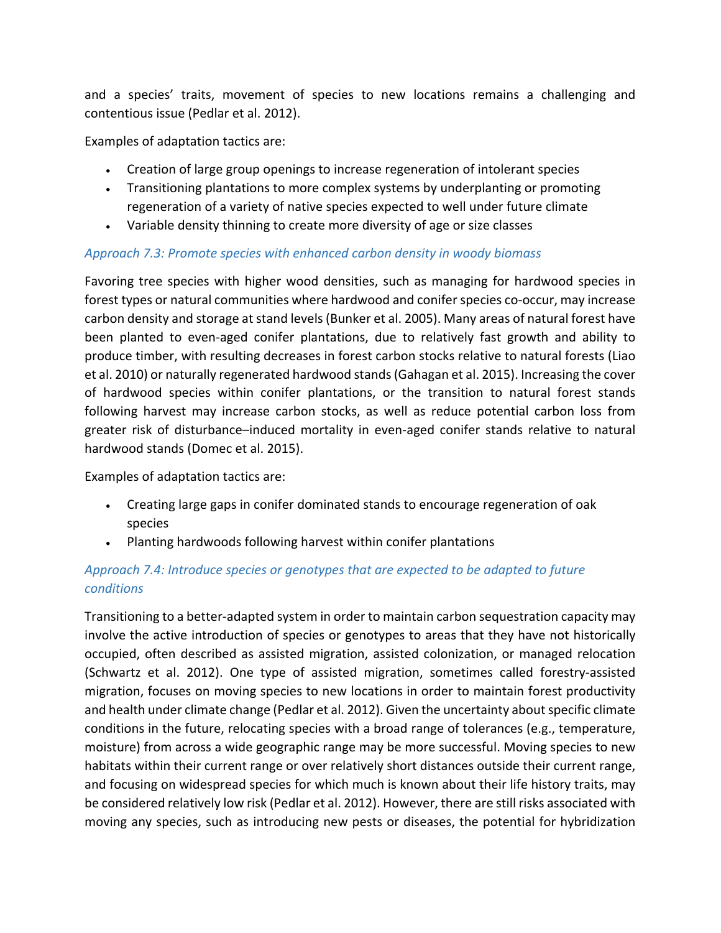and a species' traits, movement of species to new locations remains a challenging and contentious issue (Pedlar et al. 2012).

Examples of adaptation tactics are:

- Creation of large group openings to increase regeneration of intolerant species
- Transitioning plantations to more complex systems by underplanting or promoting regeneration of a variety of native species expected to well under future climate
- Variable density thinning to create more diversity of age or size classes

### *Approach 7.3: Promote species with enhanced carbon density in woody biomass*

Favoring tree species with higher wood densities, such as managing for hardwood species in forest types or natural communities where hardwood and conifer species co-occur, may increase carbon density and storage at stand levels(Bunker et al. 2005). Many areas of natural forest have been planted to even-aged conifer plantations, due to relatively fast growth and ability to produce timber, with resulting decreases in forest carbon stocks relative to natural forests (Liao et al. 2010) or naturally regenerated hardwood stands (Gahagan et al. 2015). Increasing the cover of hardwood species within conifer plantations, or the transition to natural forest stands following harvest may increase carbon stocks, as well as reduce potential carbon loss from greater risk of disturbance–induced mortality in even-aged conifer stands relative to natural hardwood stands (Domec et al. 2015).

Examples of adaptation tactics are:

- Creating large gaps in conifer dominated stands to encourage regeneration of oak species
- Planting hardwoods following harvest within conifer plantations

## *Approach 7.4: Introduce species or genotypes that are expected to be adapted to future conditions*

Transitioning to a better-adapted system in order to maintain carbon sequestration capacity may involve the active introduction of species or genotypes to areas that they have not historically occupied, often described as assisted migration, assisted colonization, or managed relocation (Schwartz et al. 2012). One type of assisted migration, sometimes called forestry-assisted migration, focuses on moving species to new locations in order to maintain forest productivity and health under climate change (Pedlar et al. 2012). Given the uncertainty about specific climate conditions in the future, relocating species with a broad range of tolerances (e.g., temperature, moisture) from across a wide geographic range may be more successful. Moving species to new habitats within their current range or over relatively short distances outside their current range, and focusing on widespread species for which much is known about their life history traits, may be considered relatively low risk (Pedlar et al. 2012). However, there are still risks associated with moving any species, such as introducing new pests or diseases, the potential for hybridization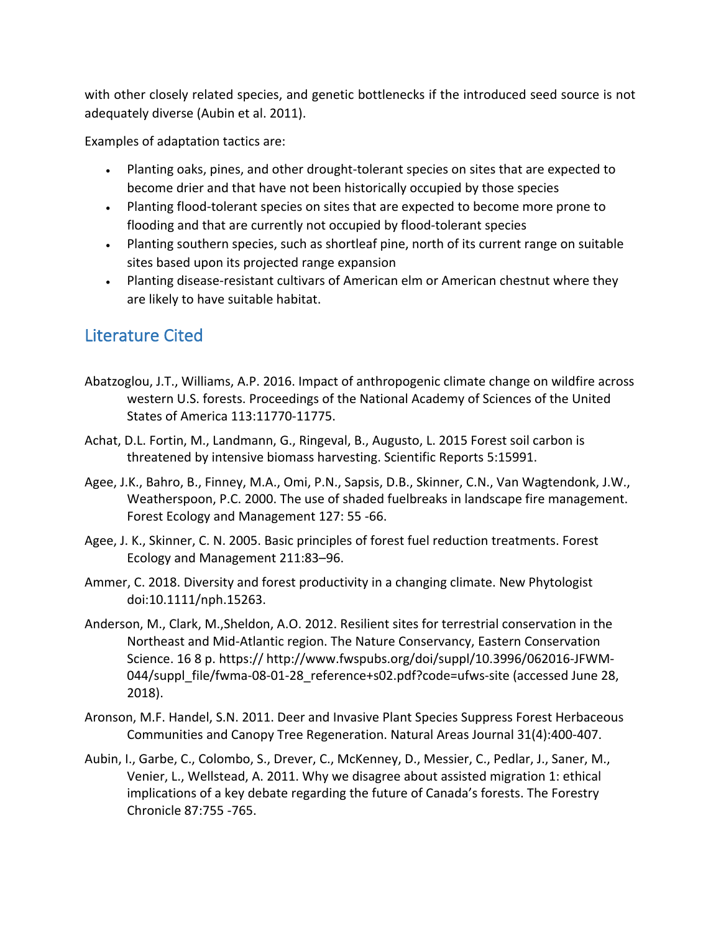with other closely related species, and genetic bottlenecks if the introduced seed source is not adequately diverse (Aubin et al. 2011).

Examples of adaptation tactics are:

- Planting oaks, pines, and other drought-tolerant species on sites that are expected to become drier and that have not been historically occupied by those species
- Planting flood-tolerant species on sites that are expected to become more prone to flooding and that are currently not occupied by flood-tolerant species
- Planting southern species, such as shortleaf pine, north of its current range on suitable sites based upon its projected range expansion
- Planting disease-resistant cultivars of American elm or American chestnut where they are likely to have suitable habitat.

# Literature Cited

- Abatzoglou, J.T., Williams, A.P. 2016. Impact of anthropogenic climate change on wildfire across western U.S. forests. Proceedings of the National Academy of Sciences of the United States of America 113:11770-11775.
- Achat, D.L. Fortin, M., Landmann, G., Ringeval, B., Augusto, L. 2015 Forest soil carbon is threatened by intensive biomass harvesting. Scientific Reports 5:15991.
- Agee, J.K., Bahro, B., Finney, M.A., Omi, P.N., Sapsis, D.B., Skinner, C.N., Van Wagtendonk, J.W., Weatherspoon, P.C. 2000. The use of shaded fuelbreaks in landscape fire management. Forest Ecology and Management 127: 55 -66.
- Agee, J. K., Skinner, C. N. 2005. Basic principles of forest fuel reduction treatments. Forest Ecology and Management 211:83–96.
- Ammer, C. 2018. Diversity and forest productivity in a changing climate. New Phytologist doi:10.1111/nph.15263.
- Anderson, M., Clark, M.,Sheldon, A.O. 2012. Resilient sites for terrestrial conservation in the Northeast and Mid-Atlantic region. The Nature Conservancy, Eastern Conservation Science. 16 8 p. https:// http://www.fwspubs.org/doi/suppl/10.3996/062016-JFWM-044/suppl\_file/fwma-08-01-28\_reference+s02.pdf?code=ufws-site (accessed June 28, 2018).
- Aronson, M.F. Handel, S.N. 2011. Deer and Invasive Plant Species Suppress Forest Herbaceous Communities and Canopy Tree Regeneration. Natural Areas Journal 31(4):400-407.
- Aubin, I., Garbe, C., Colombo, S., Drever, C., McKenney, D., Messier, C., Pedlar, J., Saner, M., Venier, L., Wellstead, A. 2011. Why we disagree about assisted migration 1: ethical implications of a key debate regarding the future of Canada's forests. The Forestry Chronicle 87:755 -765.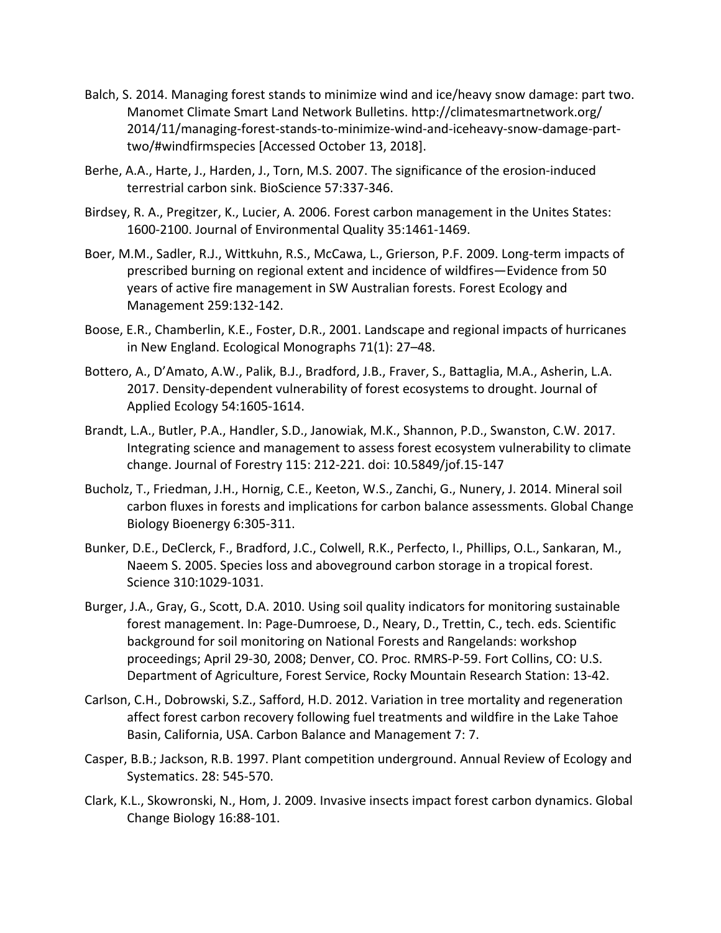- Balch, S. 2014. Managing forest stands to minimize wind and ice/heavy snow damage: part two. Manomet Climate Smart Land Network Bulletins. http://climatesmartnetwork.org/ 2014/11/managing-forest-stands-to-minimize-wind-and-iceheavy-snow-damage-parttwo/#windfirmspecies [Accessed October 13, 2018].
- Berhe, A.A., Harte, J., Harden, J., Torn, M.S. 2007. The significance of the erosion-induced terrestrial carbon sink. BioScience 57:337-346.
- Birdsey, R. A., Pregitzer, K., Lucier, A. 2006. Forest carbon management in the Unites States: 1600-2100. Journal of Environmental Quality 35:1461-1469.
- Boer, M.M., Sadler, R.J., Wittkuhn, R.S., McCawa, L., Grierson, P.F. 2009. Long-term impacts of prescribed burning on regional extent and incidence of wildfires—Evidence from 50 years of active fire management in SW Australian forests. Forest Ecology and Management 259:132-142.
- Boose, E.R., Chamberlin, K.E., Foster, D.R., 2001. Landscape and regional impacts of hurricanes in New England. Ecological Monographs 71(1): 27–48.
- Bottero, A., D'Amato, A.W., Palik, B.J., Bradford, J.B., Fraver, S., Battaglia, M.A., Asherin, L.A. 2017. Density-dependent vulnerability of forest ecosystems to drought. Journal of Applied Ecology 54:1605-1614.
- Brandt, L.A., Butler, P.A., Handler, S.D., Janowiak, M.K., Shannon, P.D., Swanston, C.W. 2017. Integrating science and management to assess forest ecosystem vulnerability to climate change. Journal of Forestry 115: 212-221. doi: 10.5849/jof.15-147
- Bucholz, T., Friedman, J.H., Hornig, C.E., Keeton, W.S., Zanchi, G., Nunery, J. 2014. Mineral soil carbon fluxes in forests and implications for carbon balance assessments. Global Change Biology Bioenergy 6:305-311.
- Bunker, D.E., DeClerck, F., Bradford, J.C., Colwell, R.K., Perfecto, I., Phillips, O.L., Sankaran, M., Naeem S. 2005. Species loss and aboveground carbon storage in a tropical forest. Science 310:1029-1031.
- Burger, J.A., Gray, G., Scott, D.A. 2010. Using soil quality indicators for monitoring sustainable forest management. In: Page-Dumroese, D., Neary, D., Trettin, C., tech. eds. Scientific background for soil monitoring on National Forests and Rangelands: workshop proceedings; April 29-30, 2008; Denver, CO. Proc. RMRS-P-59. Fort Collins, CO: U.S. Department of Agriculture, Forest Service, Rocky Mountain Research Station: 13-42.
- Carlson, C.H., Dobrowski, S.Z., Safford, H.D. 2012. Variation in tree mortality and regeneration affect forest carbon recovery following fuel treatments and wildfire in the Lake Tahoe Basin, California, USA. Carbon Balance and Management 7: 7.
- Casper, B.B.; Jackson, R.B. 1997. Plant competition underground. Annual Review of Ecology and Systematics. 28: 545-570.
- Clark, K.L., Skowronski, N., Hom, J. 2009. Invasive insects impact forest carbon dynamics. Global Change Biology 16:88-101.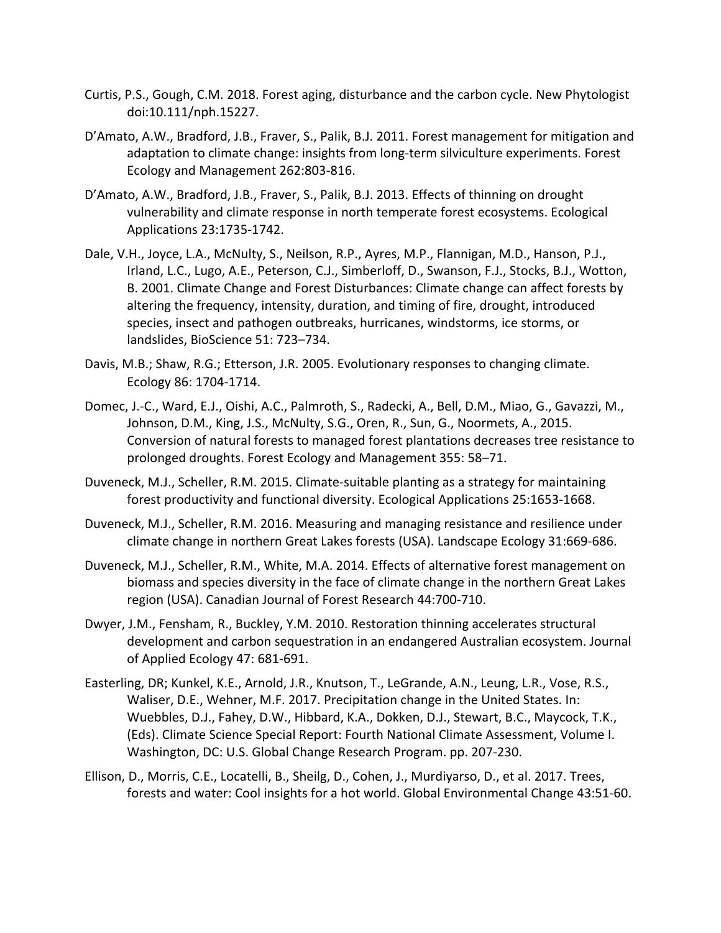- Curtis, P.S., Gough, C.M. 2018. Forest aging, disturbance and the carbon cycle. New Phytologist doi:10.111/nph.15227.
- D'Amato, A.W., Bradford, J.B., Fraver, S., Palik, B.J. 2011. Forest management for mitigation and adaptation to climate change: insights from long-term silviculture experiments. Forest Ecology and Management 262:803-816.
- D'Amato, A.W., Bradford, J.B., Fraver, S., Palik, B.J. 2013. Effects of thinning on drought vulnerability and climate response in north temperate forest ecosystems. Ecological Applications 23:1735-1742.
- Dale, V.H., Joyce, L.A., McNulty, S., Neilson, R.P., Ayres, M.P., Flannigan, M.D., Hanson, P.J., Irland, L.C., Lugo, A.E., Peterson, C.J., Simberloff, D., Swanson, F.J., Stocks, B.J., Wotton, B. 2001. Climate Change and Forest Disturbances: Climate change can affect forests by altering the frequency, intensity, duration, and timing of fire, drought, introduced species, insect and pathogen outbreaks, hurricanes, windstorms, ice storms, or landslides, BioScience 51: 723–734.
- Davis, M.B.; Shaw, R.G.; Etterson, J.R. 2005. Evolutionary responses to changing climate. Ecology 86: 1704-1714.
- Domec, J.-C., Ward, E.J., Oishi, A.C., Palmroth, S., Radecki, A., Bell, D.M., Miao, G., Gavazzi, M., Johnson, D.M., King, J.S., McNulty, S.G., Oren, R., Sun, G., Noormets, A., 2015. Conversion of natural forests to managed forest plantations decreases tree resistance to prolonged droughts. Forest Ecology and Management 355: 58–71.
- Duveneck, M.J., Scheller, R.M. 2015. Climate-suitable planting as a strategy for maintaining forest productivity and functional diversity. Ecological Applications 25:1653-1668.
- Duveneck, M.J., Scheller, R.M. 2016. Measuring and managing resistance and resilience under climate change in northern Great Lakes forests (USA). Landscape Ecology 31:669-686.
- Duveneck, M.J., Scheller, R.M., White, M.A. 2014. Effects of alternative forest management on biomass and species diversity in the face of climate change in the northern Great Lakes region (USA). Canadian Journal of Forest Research 44:700-710.
- Dwyer, J.M., Fensham, R., Buckley, Y.M. 2010. Restoration thinning accelerates structural development and carbon sequestration in an endangered Australian ecosystem. Journal of Applied Ecology 47: 681-691.
- Easterling, DR; Kunkel, K.E., Arnold, J.R., Knutson, T., LeGrande, A.N., Leung, L.R., Vose, R.S., Waliser, D.E., Wehner, M.F. 2017. Precipitation change in the United States. In: Wuebbles, D.J., Fahey, D.W., Hibbard, K.A., Dokken, D.J., Stewart, B.C., Maycock, T.K., (Eds). Climate Science Special Report: Fourth National Climate Assessment, Volume I. Washington, DC: U.S. Global Change Research Program. pp. 207-230.
- Ellison, D., Morris, C.E., Locatelli, B., Sheilg, D., Cohen, J., Murdiyarso, D., et al. 2017. Trees, forests and water: Cool insights for a hot world. Global Environmental Change 43:51-60.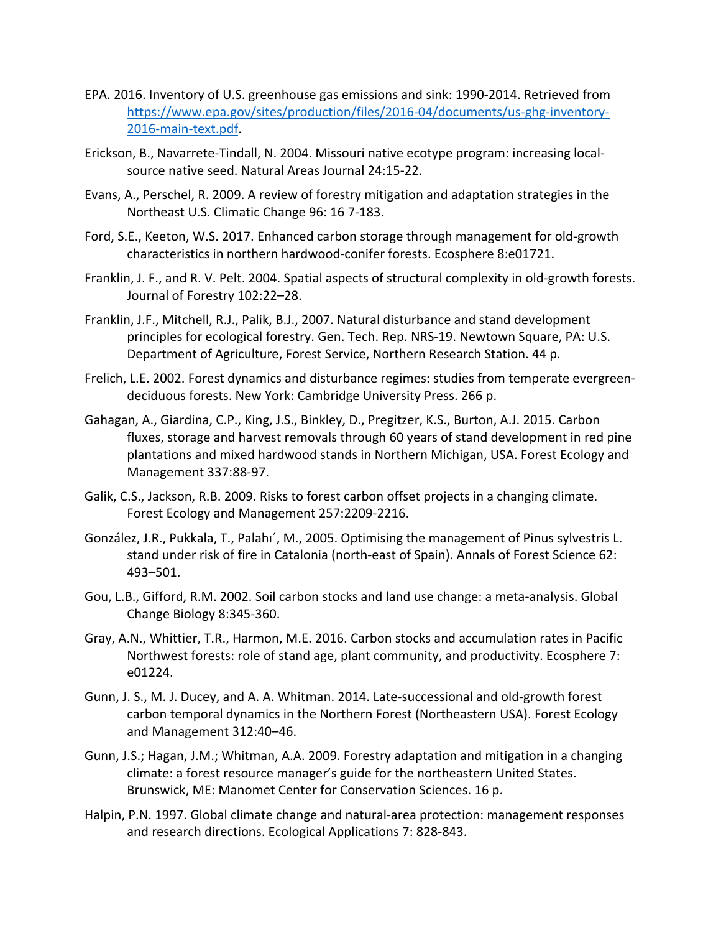- EPA. 2016. Inventory of U.S. greenhouse gas emissions and sink: 1990-2014. Retrieved from https://www.epa.gov/sites/production/files/2016-04/documents/us-ghg-inventory-2016-main-text.pdf.
- Erickson, B., Navarrete-Tindall, N. 2004. Missouri native ecotype program: increasing localsource native seed. Natural Areas Journal 24:15-22.
- Evans, A., Perschel, R. 2009. A review of forestry mitigation and adaptation strategies in the Northeast U.S. Climatic Change 96: 16 7-183.
- Ford, S.E., Keeton, W.S. 2017. Enhanced carbon storage through management for old-growth characteristics in northern hardwood-conifer forests. Ecosphere 8:e01721.
- Franklin, J. F., and R. V. Pelt. 2004. Spatial aspects of structural complexity in old-growth forests. Journal of Forestry 102:22–28.
- Franklin, J.F., Mitchell, R.J., Palik, B.J., 2007. Natural disturbance and stand development principles for ecological forestry. Gen. Tech. Rep. NRS-19. Newtown Square, PA: U.S. Department of Agriculture, Forest Service, Northern Research Station. 44 p.
- Frelich, L.E. 2002. Forest dynamics and disturbance regimes: studies from temperate evergreendeciduous forests. New York: Cambridge University Press. 266 p.
- Gahagan, A., Giardina, C.P., King, J.S., Binkley, D., Pregitzer, K.S., Burton, A.J. 2015. Carbon fluxes, storage and harvest removals through 60 years of stand development in red pine plantations and mixed hardwood stands in Northern Michigan, USA. Forest Ecology and Management 337:88-97.
- Galik, C.S., Jackson, R.B. 2009. Risks to forest carbon offset projects in a changing climate. Forest Ecology and Management 257:2209-2216.
- González, J.R., Pukkala, T., Palahı´, M., 2005. Optimising the management of Pinus sylvestris L. stand under risk of fire in Catalonia (north-east of Spain). Annals of Forest Science 62: 493–501.
- Gou, L.B., Gifford, R.M. 2002. Soil carbon stocks and land use change: a meta-analysis. Global Change Biology 8:345-360.
- Gray, A.N., Whittier, T.R., Harmon, M.E. 2016. Carbon stocks and accumulation rates in Pacific Northwest forests: role of stand age, plant community, and productivity. Ecosphere 7: e01224.
- Gunn, J. S., M. J. Ducey, and A. A. Whitman. 2014. Late-successional and old-growth forest carbon temporal dynamics in the Northern Forest (Northeastern USA). Forest Ecology and Management 312:40–46.
- Gunn, J.S.; Hagan, J.M.; Whitman, A.A. 2009. Forestry adaptation and mitigation in a changing climate: a forest resource manager's guide for the northeastern United States. Brunswick, ME: Manomet Center for Conservation Sciences. 16 p.
- Halpin, P.N. 1997. Global climate change and natural-area protection: management responses and research directions. Ecological Applications 7: 828-843.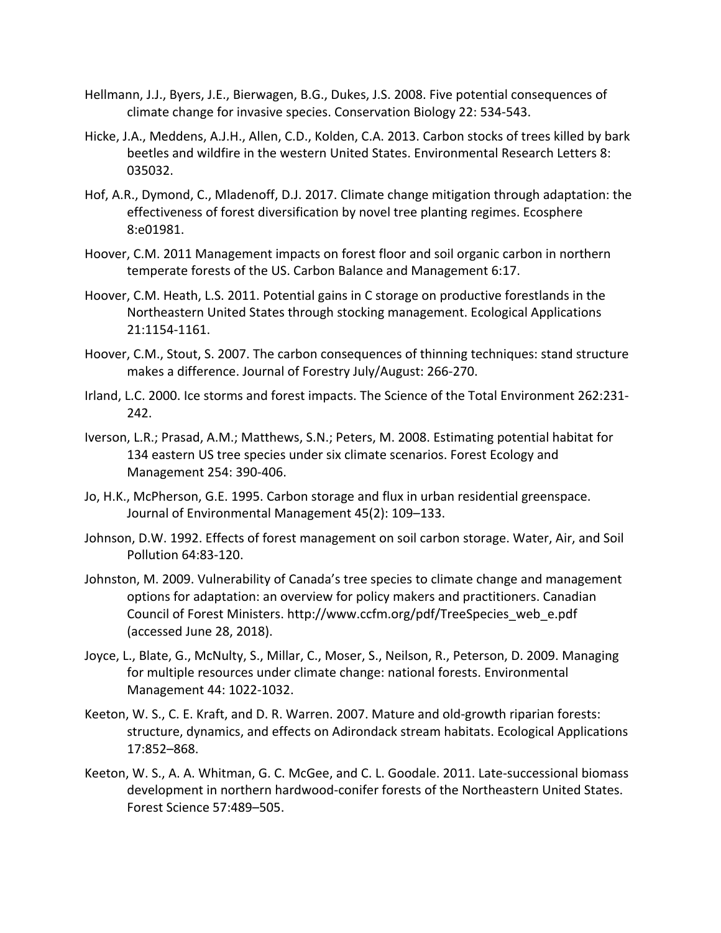- Hellmann, J.J., Byers, J.E., Bierwagen, B.G., Dukes, J.S. 2008. Five potential consequences of climate change for invasive species. Conservation Biology 22: 534-543.
- Hicke, J.A., Meddens, A.J.H., Allen, C.D., Kolden, C.A. 2013. Carbon stocks of trees killed by bark beetles and wildfire in the western United States. Environmental Research Letters 8: 035032.
- Hof, A.R., Dymond, C., Mladenoff, D.J. 2017. Climate change mitigation through adaptation: the effectiveness of forest diversification by novel tree planting regimes. Ecosphere 8:e01981.
- Hoover, C.M. 2011 Management impacts on forest floor and soil organic carbon in northern temperate forests of the US. Carbon Balance and Management 6:17.
- Hoover, C.M. Heath, L.S. 2011. Potential gains in C storage on productive forestlands in the Northeastern United States through stocking management. Ecological Applications 21:1154-1161.
- Hoover, C.M., Stout, S. 2007. The carbon consequences of thinning techniques: stand structure makes a difference. Journal of Forestry July/August: 266-270.
- Irland, L.C. 2000. Ice storms and forest impacts. The Science of the Total Environment 262:231- 242.
- Iverson, L.R.; Prasad, A.M.; Matthews, S.N.; Peters, M. 2008. Estimating potential habitat for 134 eastern US tree species under six climate scenarios. Forest Ecology and Management 254: 390-406.
- Jo, H.K., McPherson, G.E. 1995. Carbon storage and flux in urban residential greenspace. Journal of Environmental Management 45(2): 109–133.
- Johnson, D.W. 1992. Effects of forest management on soil carbon storage. Water, Air, and Soil Pollution 64:83-120.
- Johnston, M. 2009. Vulnerability of Canada's tree species to climate change and management options for adaptation: an overview for policy makers and practitioners. Canadian Council of Forest Ministers. http://www.ccfm.org/pdf/TreeSpecies\_web\_e.pdf (accessed June 28, 2018).
- Joyce, L., Blate, G., McNulty, S., Millar, C., Moser, S., Neilson, R., Peterson, D. 2009. Managing for multiple resources under climate change: national forests. Environmental Management 44: 1022-1032.
- Keeton, W. S., C. E. Kraft, and D. R. Warren. 2007. Mature and old-growth riparian forests: structure, dynamics, and effects on Adirondack stream habitats. Ecological Applications 17:852–868.
- Keeton, W. S., A. A. Whitman, G. C. McGee, and C. L. Goodale. 2011. Late-successional biomass development in northern hardwood-conifer forests of the Northeastern United States. Forest Science 57:489–505.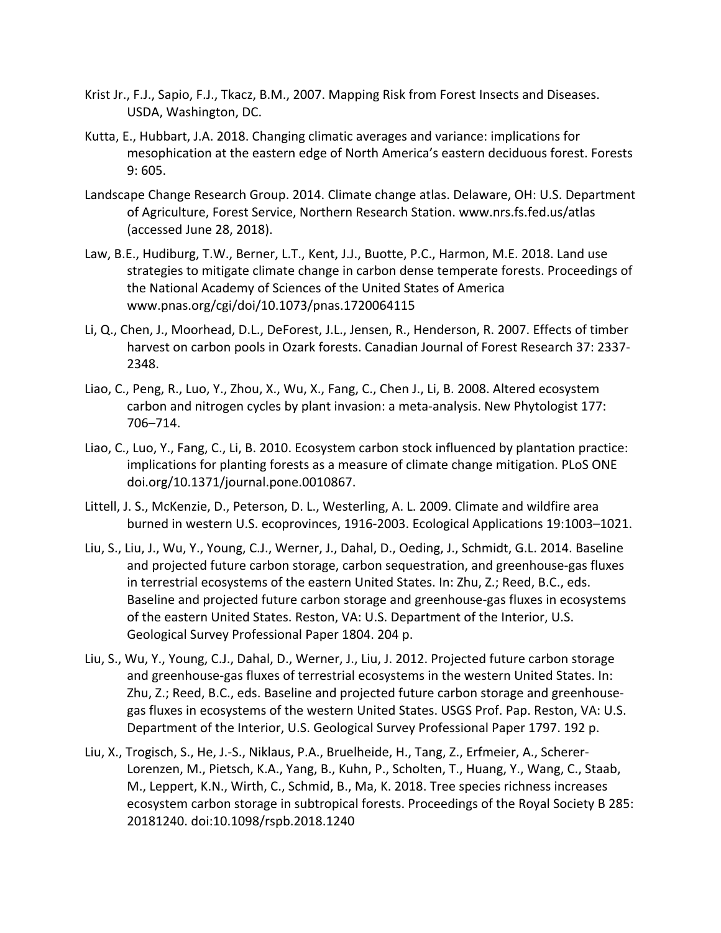- Krist Jr., F.J., Sapio, F.J., Tkacz, B.M., 2007. Mapping Risk from Forest Insects and Diseases. USDA, Washington, DC.
- Kutta, E., Hubbart, J.A. 2018. Changing climatic averages and variance: implications for mesophication at the eastern edge of North America's eastern deciduous forest. Forests 9: 605.
- Landscape Change Research Group. 2014. Climate change atlas. Delaware, OH: U.S. Department of Agriculture, Forest Service, Northern Research Station. www.nrs.fs.fed.us/atlas (accessed June 28, 2018).
- Law, B.E., Hudiburg, T.W., Berner, L.T., Kent, J.J., Buotte, P.C., Harmon, M.E. 2018. Land use strategies to mitigate climate change in carbon dense temperate forests. Proceedings of the National Academy of Sciences of the United States of America www.pnas.org/cgi/doi/10.1073/pnas.1720064115
- Li, Q., Chen, J., Moorhead, D.L., DeForest, J.L., Jensen, R., Henderson, R. 2007. Effects of timber harvest on carbon pools in Ozark forests. Canadian Journal of Forest Research 37: 2337- 2348.
- Liao, C., Peng, R., Luo, Y., Zhou, X., Wu, X., Fang, C., Chen J., Li, B. 2008. Altered ecosystem carbon and nitrogen cycles by plant invasion: a meta-analysis. New Phytologist 177: 706–714.
- Liao, C., Luo, Y., Fang, C., Li, B. 2010. Ecosystem carbon stock influenced by plantation practice: implications for planting forests as a measure of climate change mitigation. PLoS ONE doi.org/10.1371/journal.pone.0010867.
- Littell, J. S., McKenzie, D., Peterson, D. L., Westerling, A. L. 2009. Climate and wildfire area burned in western U.S. ecoprovinces, 1916-2003. Ecological Applications 19:1003–1021.
- Liu, S., Liu, J., Wu, Y., Young, C.J., Werner, J., Dahal, D., Oeding, J., Schmidt, G.L. 2014. Baseline and projected future carbon storage, carbon sequestration, and greenhouse-gas fluxes in terrestrial ecosystems of the eastern United States. In: Zhu, Z.; Reed, B.C., eds. Baseline and projected future carbon storage and greenhouse-gas fluxes in ecosystems of the eastern United States. Reston, VA: U.S. Department of the Interior, U.S. Geological Survey Professional Paper 1804. 204 p.
- Liu, S., Wu, Y., Young, C.J., Dahal, D., Werner, J., Liu, J. 2012. Projected future carbon storage and greenhouse-gas fluxes of terrestrial ecosystems in the western United States. In: Zhu, Z.; Reed, B.C., eds. Baseline and projected future carbon storage and greenhousegas fluxes in ecosystems of the western United States. USGS Prof. Pap. Reston, VA: U.S. Department of the Interior, U.S. Geological Survey Professional Paper 1797. 192 p.
- Liu, X., Trogisch, S., He, J.-S., Niklaus, P.A., Bruelheide, H., Tang, Z., Erfmeier, A., Scherer-Lorenzen, M., Pietsch, K.A., Yang, B., Kuhn, P., Scholten, T., Huang, Y., Wang, C., Staab, M., Leppert, K.N., Wirth, C., Schmid, B., Ma, K. 2018. Tree species richness increases ecosystem carbon storage in subtropical forests. Proceedings of the Royal Society B 285: 20181240. doi:10.1098/rspb.2018.1240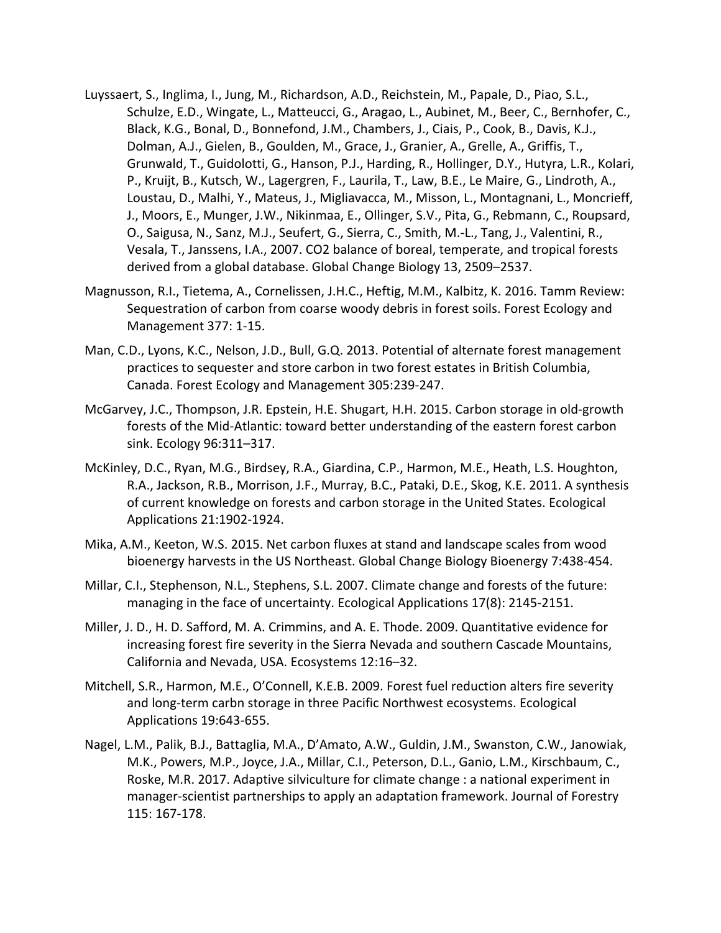- Luyssaert, S., Inglima, I., Jung, M., Richardson, A.D., Reichstein, M., Papale, D., Piao, S.L., Schulze, E.D., Wingate, L., Matteucci, G., Aragao, L., Aubinet, M., Beer, C., Bernhofer, C., Black, K.G., Bonal, D., Bonnefond, J.M., Chambers, J., Ciais, P., Cook, B., Davis, K.J., Dolman, A.J., Gielen, B., Goulden, M., Grace, J., Granier, A., Grelle, A., Griffis, T., Grunwald, T., Guidolotti, G., Hanson, P.J., Harding, R., Hollinger, D.Y., Hutyra, L.R., Kolari, P., Kruijt, B., Kutsch, W., Lagergren, F., Laurila, T., Law, B.E., Le Maire, G., Lindroth, A., Loustau, D., Malhi, Y., Mateus, J., Migliavacca, M., Misson, L., Montagnani, L., Moncrieff, J., Moors, E., Munger, J.W., Nikinmaa, E., Ollinger, S.V., Pita, G., Rebmann, C., Roupsard, O., Saigusa, N., Sanz, M.J., Seufert, G., Sierra, C., Smith, M.-L., Tang, J., Valentini, R., Vesala, T., Janssens, I.A., 2007. CO2 balance of boreal, temperate, and tropical forests derived from a global database. Global Change Biology 13, 2509–2537.
- Magnusson, R.I., Tietema, A., Cornelissen, J.H.C., Heftig, M.M., Kalbitz, K. 2016. Tamm Review: Sequestration of carbon from coarse woody debris in forest soils. Forest Ecology and Management 377: 1-15.
- Man, C.D., Lyons, K.C., Nelson, J.D., Bull, G.Q. 2013. Potential of alternate forest management practices to sequester and store carbon in two forest estates in British Columbia, Canada. Forest Ecology and Management 305:239-247.
- McGarvey, J.C., Thompson, J.R. Epstein, H.E. Shugart, H.H. 2015. Carbon storage in old-growth forests of the Mid-Atlantic: toward better understanding of the eastern forest carbon sink. Ecology 96:311–317.
- McKinley, D.C., Ryan, M.G., Birdsey, R.A., Giardina, C.P., Harmon, M.E., Heath, L.S. Houghton, R.A., Jackson, R.B., Morrison, J.F., Murray, B.C., Pataki, D.E., Skog, K.E. 2011. A synthesis of current knowledge on forests and carbon storage in the United States. Ecological Applications 21:1902-1924.
- Mika, A.M., Keeton, W.S. 2015. Net carbon fluxes at stand and landscape scales from wood bioenergy harvests in the US Northeast. Global Change Biology Bioenergy 7:438-454.
- Millar, C.I., Stephenson, N.L., Stephens, S.L. 2007. Climate change and forests of the future: managing in the face of uncertainty. Ecological Applications 17(8): 2145-2151.
- Miller, J. D., H. D. Safford, M. A. Crimmins, and A. E. Thode. 2009. Quantitative evidence for increasing forest fire severity in the Sierra Nevada and southern Cascade Mountains, California and Nevada, USA. Ecosystems 12:16–32.
- Mitchell, S.R., Harmon, M.E., O'Connell, K.E.B. 2009. Forest fuel reduction alters fire severity and long-term carbn storage in three Pacific Northwest ecosystems. Ecological Applications 19:643-655.
- Nagel, L.M., Palik, B.J., Battaglia, M.A., D'Amato, A.W., Guldin, J.M., Swanston, C.W., Janowiak, M.K., Powers, M.P., Joyce, J.A., Millar, C.I., Peterson, D.L., Ganio, L.M., Kirschbaum, C., Roske, M.R. 2017. Adaptive silviculture for climate change : a national experiment in manager-scientist partnerships to apply an adaptation framework. Journal of Forestry 115: 167-178.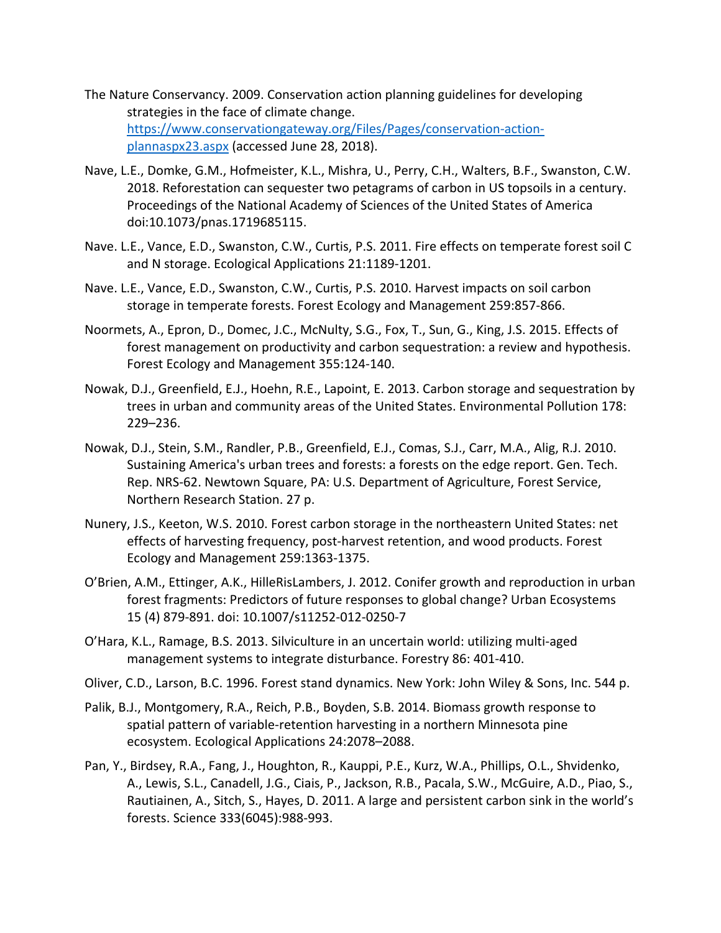- The Nature Conservancy. 2009. Conservation action planning guidelines for developing strategies in the face of climate change. https://www.conservationgateway.org/Files/Pages/conservation-actionplannaspx23.aspx (accessed June 28, 2018).
- Nave, L.E., Domke, G.M., Hofmeister, K.L., Mishra, U., Perry, C.H., Walters, B.F., Swanston, C.W. 2018. Reforestation can sequester two petagrams of carbon in US topsoils in a century. Proceedings of the National Academy of Sciences of the United States of America doi:10.1073/pnas.1719685115.
- Nave. L.E., Vance, E.D., Swanston, C.W., Curtis, P.S. 2011. Fire effects on temperate forest soil C and N storage. Ecological Applications 21:1189-1201.
- Nave. L.E., Vance, E.D., Swanston, C.W., Curtis, P.S. 2010. Harvest impacts on soil carbon storage in temperate forests. Forest Ecology and Management 259:857-866.
- Noormets, A., Epron, D., Domec, J.C., McNulty, S.G., Fox, T., Sun, G., King, J.S. 2015. Effects of forest management on productivity and carbon sequestration: a review and hypothesis. Forest Ecology and Management 355:124-140.
- Nowak, D.J., Greenfield, E.J., Hoehn, R.E., Lapoint, E. 2013. Carbon storage and sequestration by trees in urban and community areas of the United States. Environmental Pollution 178: 229–236.
- Nowak, D.J., Stein, S.M., Randler, P.B., Greenfield, E.J., Comas, S.J., Carr, M.A., Alig, R.J. 2010. Sustaining America's urban trees and forests: a forests on the edge report. Gen. Tech. Rep. NRS-62. Newtown Square, PA: U.S. Department of Agriculture, Forest Service, Northern Research Station. 27 p.
- Nunery, J.S., Keeton, W.S. 2010. Forest carbon storage in the northeastern United States: net effects of harvesting frequency, post-harvest retention, and wood products. Forest Ecology and Management 259:1363-1375.
- O'Brien, A.M., Ettinger, A.K., HilleRisLambers, J. 2012. Conifer growth and reproduction in urban forest fragments: Predictors of future responses to global change? Urban Ecosystems 15 (4) 879-891. doi: 10.1007/s11252-012-0250-7
- O'Hara, K.L., Ramage, B.S. 2013. Silviculture in an uncertain world: utilizing multi-aged management systems to integrate disturbance. Forestry 86: 401-410.
- Oliver, C.D., Larson, B.C. 1996. Forest stand dynamics. New York: John Wiley & Sons, Inc. 544 p.
- Palik, B.J., Montgomery, R.A., Reich, P.B., Boyden, S.B. 2014. Biomass growth response to spatial pattern of variable-retention harvesting in a northern Minnesota pine ecosystem. Ecological Applications 24:2078–2088.
- Pan, Y., Birdsey, R.A., Fang, J., Houghton, R., Kauppi, P.E., Kurz, W.A., Phillips, O.L., Shvidenko, A., Lewis, S.L., Canadell, J.G., Ciais, P., Jackson, R.B., Pacala, S.W., McGuire, A.D., Piao, S., Rautiainen, A., Sitch, S., Hayes, D. 2011. A large and persistent carbon sink in the world's forests. Science 333(6045):988-993.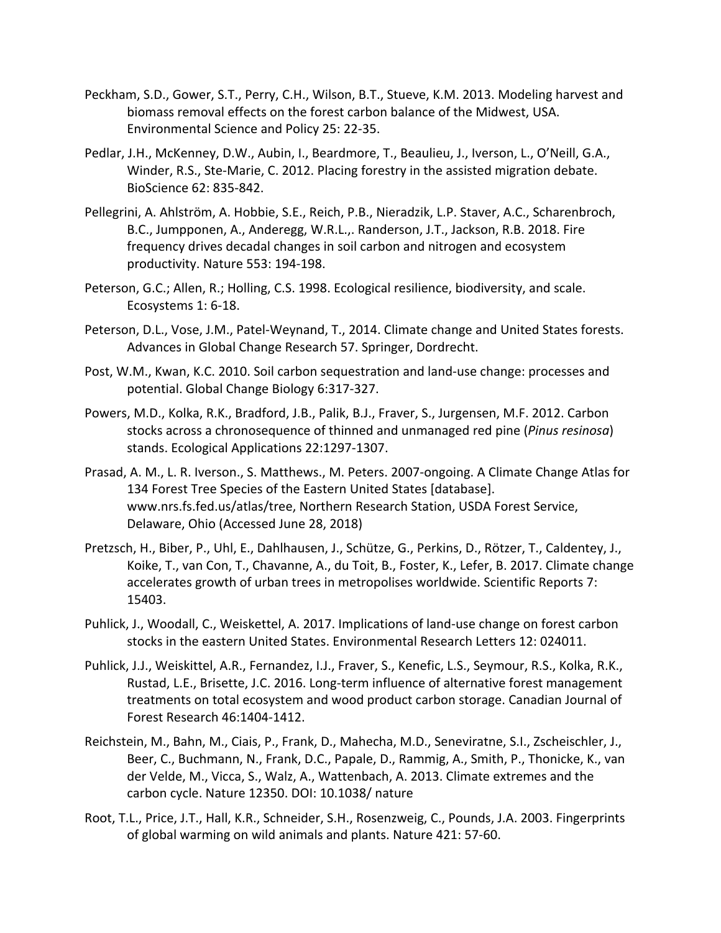- Peckham, S.D., Gower, S.T., Perry, C.H., Wilson, B.T., Stueve, K.M. 2013. Modeling harvest and biomass removal effects on the forest carbon balance of the Midwest, USA. Environmental Science and Policy 25: 22-35.
- Pedlar, J.H., McKenney, D.W., Aubin, I., Beardmore, T., Beaulieu, J., Iverson, L., O'Neill, G.A., Winder, R.S., Ste-Marie, C. 2012. Placing forestry in the assisted migration debate. BioScience 62: 835-842.
- Pellegrini, A. Ahlström, A. Hobbie, S.E., Reich, P.B., Nieradzik, L.P. Staver, A.C., Scharenbroch, B.C., Jumpponen, A., Anderegg, W.R.L.,. Randerson, J.T., Jackson, R.B. 2018. Fire frequency drives decadal changes in soil carbon and nitrogen and ecosystem productivity. Nature 553: 194-198.
- Peterson, G.C.; Allen, R.; Holling, C.S. 1998. Ecological resilience, biodiversity, and scale. Ecosystems 1: 6-18.
- Peterson, D.L., Vose, J.M., Patel-Weynand, T., 2014. Climate change and United States forests. Advances in Global Change Research 57. Springer, Dordrecht.
- Post, W.M., Kwan, K.C. 2010. Soil carbon sequestration and land-use change: processes and potential. Global Change Biology 6:317-327.
- Powers, M.D., Kolka, R.K., Bradford, J.B., Palik, B.J., Fraver, S., Jurgensen, M.F. 2012. Carbon stocks across a chronosequence of thinned and unmanaged red pine (*Pinus resinosa*) stands. Ecological Applications 22:1297-1307.
- Prasad, A. M., L. R. Iverson., S. Matthews., M. Peters. 2007-ongoing. A Climate Change Atlas for 134 Forest Tree Species of the Eastern United States [database]. www.nrs.fs.fed.us/atlas/tree, Northern Research Station, USDA Forest Service, Delaware, Ohio (Accessed June 28, 2018)
- Pretzsch, H., Biber, P., Uhl, E., Dahlhausen, J., Schütze, G., Perkins, D., Rötzer, T., Caldentey, J., Koike, T., van Con, T., Chavanne, A., du Toit, B., Foster, K., Lefer, B. 2017. Climate change accelerates growth of urban trees in metropolises worldwide. Scientific Reports 7: 15403.
- Puhlick, J., Woodall, C., Weiskettel, A. 2017. Implications of land-use change on forest carbon stocks in the eastern United States. Environmental Research Letters 12: 024011.
- Puhlick, J.J., Weiskittel, A.R., Fernandez, I.J., Fraver, S., Kenefic, L.S., Seymour, R.S., Kolka, R.K., Rustad, L.E., Brisette, J.C. 2016. Long-term influence of alternative forest management treatments on total ecosystem and wood product carbon storage. Canadian Journal of Forest Research 46:1404-1412.
- Reichstein, M., Bahn, M., Ciais, P., Frank, D., Mahecha, M.D., Seneviratne, S.I., Zscheischler, J., Beer, C., Buchmann, N., Frank, D.C., Papale, D., Rammig, A., Smith, P., Thonicke, K., van der Velde, M., Vicca, S., Walz, A., Wattenbach, A. 2013. Climate extremes and the carbon cycle. Nature 12350. DOI: 10.1038/ nature
- Root, T.L., Price, J.T., Hall, K.R., Schneider, S.H., Rosenzweig, C., Pounds, J.A. 2003. Fingerprints of global warming on wild animals and plants. Nature 421: 57-60.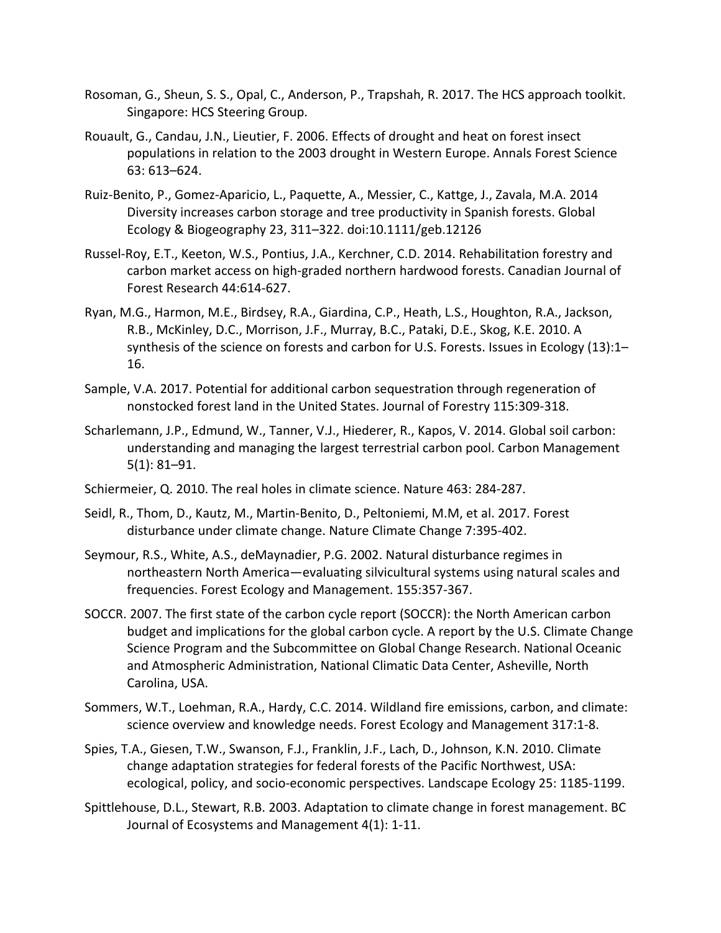- Rosoman, G., Sheun, S. S., Opal, C., Anderson, P., Trapshah, R. 2017. The HCS approach toolkit. Singapore: HCS Steering Group.
- Rouault, G., Candau, J.N., Lieutier, F. 2006. Effects of drought and heat on forest insect populations in relation to the 2003 drought in Western Europe. Annals Forest Science 63: 613–624.
- Ruiz-Benito, P., Gomez-Aparicio, L., Paquette, A., Messier, C., Kattge, J., Zavala, M.A. 2014 Diversity increases carbon storage and tree productivity in Spanish forests. Global Ecology & Biogeography 23, 311–322. doi:10.1111/geb.12126
- Russel-Roy, E.T., Keeton, W.S., Pontius, J.A., Kerchner, C.D. 2014. Rehabilitation forestry and carbon market access on high-graded northern hardwood forests. Canadian Journal of Forest Research 44:614-627.
- Ryan, M.G., Harmon, M.E., Birdsey, R.A., Giardina, C.P., Heath, L.S., Houghton, R.A., Jackson, R.B., McKinley, D.C., Morrison, J.F., Murray, B.C., Pataki, D.E., Skog, K.E. 2010. A synthesis of the science on forests and carbon for U.S. Forests. Issues in Ecology (13):1– 16.
- Sample, V.A. 2017. Potential for additional carbon sequestration through regeneration of nonstocked forest land in the United States. Journal of Forestry 115:309-318.
- Scharlemann, J.P., Edmund, W., Tanner, V.J., Hiederer, R., Kapos, V. 2014. Global soil carbon: understanding and managing the largest terrestrial carbon pool. Carbon Management 5(1): 81–91.
- Schiermeier, Q. 2010. The real holes in climate science. Nature 463: 284-287.
- Seidl, R., Thom, D., Kautz, M., Martin-Benito, D., Peltoniemi, M.M, et al. 2017. Forest disturbance under climate change. Nature Climate Change 7:395-402.
- Seymour, R.S., White, A.S., deMaynadier, P.G. 2002. Natural disturbance regimes in northeastern North America—evaluating silvicultural systems using natural scales and frequencies. Forest Ecology and Management. 155:357-367.
- SOCCR. 2007. The first state of the carbon cycle report (SOCCR): the North American carbon budget and implications for the global carbon cycle. A report by the U.S. Climate Change Science Program and the Subcommittee on Global Change Research. National Oceanic and Atmospheric Administration, National Climatic Data Center, Asheville, North Carolina, USA.
- Sommers, W.T., Loehman, R.A., Hardy, C.C. 2014. Wildland fire emissions, carbon, and climate: science overview and knowledge needs. Forest Ecology and Management 317:1-8.
- Spies, T.A., Giesen, T.W., Swanson, F.J., Franklin, J.F., Lach, D., Johnson, K.N. 2010. Climate change adaptation strategies for federal forests of the Pacific Northwest, USA: ecological, policy, and socio-economic perspectives. Landscape Ecology 25: 1185-1199.
- Spittlehouse, D.L., Stewart, R.B. 2003. Adaptation to climate change in forest management. BC Journal of Ecosystems and Management 4(1): 1-11.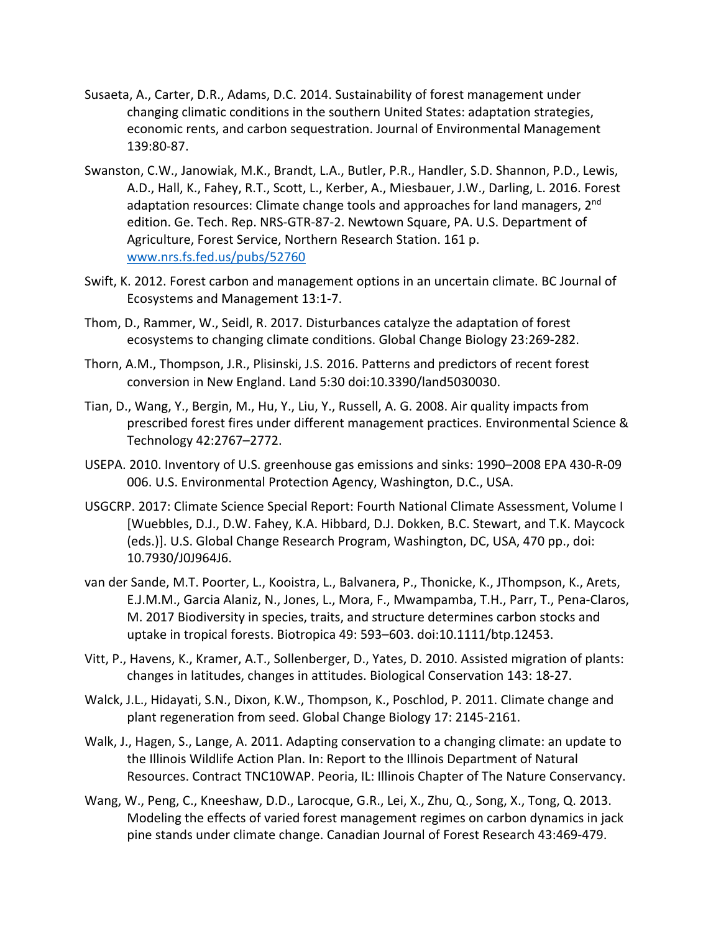- Susaeta, A., Carter, D.R., Adams, D.C. 2014. Sustainability of forest management under changing climatic conditions in the southern United States: adaptation strategies, economic rents, and carbon sequestration. Journal of Environmental Management 139:80-87.
- Swanston, C.W., Janowiak, M.K., Brandt, L.A., Butler, P.R., Handler, S.D. Shannon, P.D., Lewis, A.D., Hall, K., Fahey, R.T., Scott, L., Kerber, A., Miesbauer, J.W., Darling, L. 2016. Forest adaptation resources: Climate change tools and approaches for land managers, 2<sup>nd</sup> edition. Ge. Tech. Rep. NRS-GTR-87-2. Newtown Square, PA. U.S. Department of Agriculture, Forest Service, Northern Research Station. 161 p. www.nrs.fs.fed.us/pubs/52760
- Swift, K. 2012. Forest carbon and management options in an uncertain climate. BC Journal of Ecosystems and Management 13:1-7.
- Thom, D., Rammer, W., Seidl, R. 2017. Disturbances catalyze the adaptation of forest ecosystems to changing climate conditions. Global Change Biology 23:269-282.
- Thorn, A.M., Thompson, J.R., Plisinski, J.S. 2016. Patterns and predictors of recent forest conversion in New England. Land 5:30 doi:10.3390/land5030030.
- Tian, D., Wang, Y., Bergin, M., Hu, Y., Liu, Y., Russell, A. G. 2008. Air quality impacts from prescribed forest fires under different management practices. Environmental Science & Technology 42:2767–2772.
- USEPA. 2010. Inventory of U.S. greenhouse gas emissions and sinks: 1990–2008 EPA 430-R-09 006. U.S. Environmental Protection Agency, Washington, D.C., USA.
- USGCRP. 2017: Climate Science Special Report: Fourth National Climate Assessment, Volume I [Wuebbles, D.J., D.W. Fahey, K.A. Hibbard, D.J. Dokken, B.C. Stewart, and T.K. Maycock (eds.)]. U.S. Global Change Research Program, Washington, DC, USA, 470 pp., doi: 10.7930/J0J964J6.
- van der Sande, M.T. Poorter, L., Kooistra, L., Balvanera, P., Thonicke, K., JThompson, K., Arets, E.J.M.M., Garcia Alaniz, N., Jones, L., Mora, F., Mwampamba, T.H., Parr, T., Pena-Claros, M. 2017 Biodiversity in species, traits, and structure determines carbon stocks and uptake in tropical forests. Biotropica 49: 593–603. doi:10.1111/btp.12453.
- Vitt, P., Havens, K., Kramer, A.T., Sollenberger, D., Yates, D. 2010. Assisted migration of plants: changes in latitudes, changes in attitudes. Biological Conservation 143: 18-27.
- Walck, J.L., Hidayati, S.N., Dixon, K.W., Thompson, K., Poschlod, P. 2011. Climate change and plant regeneration from seed. Global Change Biology 17: 2145-2161.
- Walk, J., Hagen, S., Lange, A. 2011. Adapting conservation to a changing climate: an update to the Illinois Wildlife Action Plan. In: Report to the Illinois Department of Natural Resources. Contract TNC10WAP. Peoria, IL: Illinois Chapter of The Nature Conservancy.
- Wang, W., Peng, C., Kneeshaw, D.D., Larocque, G.R., Lei, X., Zhu, Q., Song, X., Tong, Q. 2013. Modeling the effects of varied forest management regimes on carbon dynamics in jack pine stands under climate change. Canadian Journal of Forest Research 43:469-479.